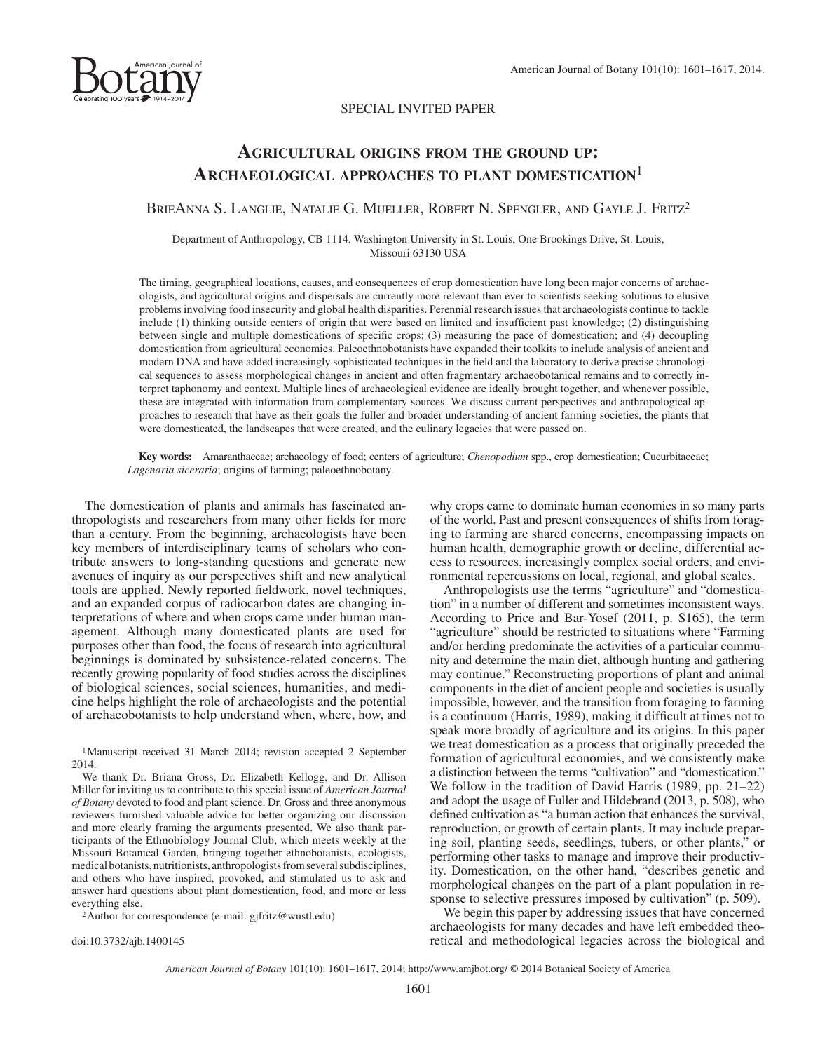

## SPECIAL INVITED PAPER

# **AGRICULTURAL ORIGINS FROM THE GROUND UP: ARCHAEOLOGICAL APPROACHES TO PLANT DOMESTICATION**<sup>1</sup>

BRIEANNA S. LANGLIE, NATALIE G. MUELLER, ROBERT N. SPENGLER, AND GAYLE J. FRITZ<sup>2</sup>

 Department of Anthropology, CB 1114, Washington University in St. Louis, One Brookings Drive, St. Louis, Missouri 63130 USA

 The timing, geographical locations, causes, and consequences of crop domestication have long been major concerns of archaeologists, and agricultural origins and dispersals are currently more relevant than ever to scientists seeking solutions to elusive problems involving food insecurity and global health disparities. Perennial research issues that archaeologists continue to tackle include (1) thinking outside centers of origin that were based on limited and insufficient past knowledge; (2) distinguishing between single and multiple domestications of specific crops; (3) measuring the pace of domestication; and (4) decoupling domestication from agricultural economies. Paleoethnobotanists have expanded their toolkits to include analysis of ancient and modern DNA and have added increasingly sophisticated techniques in the field and the laboratory to derive precise chronological sequences to assess morphological changes in ancient and often fragmentary archaeobotanical remains and to correctly interpret taphonomy and context. Multiple lines of archaeological evidence are ideally brought together, and whenever possible, these are integrated with information from complementary sources. We discuss current perspectives and anthropological approaches to research that have as their goals the fuller and broader understanding of ancient farming societies, the plants that were domesticated, the landscapes that were created, and the culinary legacies that were passed on.

 **Key words:** Amaranthaceae; archaeology of food; centers of agriculture; *Chenopodium* spp., crop domestication; Cucurbitaceae; Lagenaria siceraria; origins of farming; paleoethnobotany.

 The domestication of plants and animals has fascinated anthropologists and researchers from many other fields for more than a century. From the beginning, archaeologists have been key members of interdisciplinary teams of scholars who contribute answers to long-standing questions and generate new avenues of inquiry as our perspectives shift and new analytical tools are applied. Newly reported fieldwork, novel techniques, and an expanded corpus of radiocarbon dates are changing interpretations of where and when crops came under human management. Although many domesticated plants are used for purposes other than food, the focus of research into agricultural beginnings is dominated by subsistence-related concerns. The recently growing popularity of food studies across the disciplines of biological sciences, social sciences, humanities, and medicine helps highlight the role of archaeologists and the potential of archaeobotanists to help understand when, where, how, and

<sup>1</sup> Manuscript received 31 March 2014; revision accepted 2 September 2014.

 We thank Dr. Briana Gross, Dr. Elizabeth Kellogg, and Dr. Allison Miller for inviting us to contribute to this special issue of *American Journal of Botany* devoted to food and plant science. Dr. Gross and three anonymous reviewers furnished valuable advice for better organizing our discussion and more clearly framing the arguments presented. We also thank participants of the Ethnobiology Journal Club, which meets weekly at the Missouri Botanical Garden, bringing together ethnobotanists, ecologists, medical botanists, nutritionists, anthropologists from several subdisciplines, and others who have inspired, provoked, and stimulated us to ask and answer hard questions about plant domestication, food, and more or less everything else. 2 Author for correspondence (e-mail: gjfritz@wustl.edu)

doi:10.3732/ajb.1400145

why crops came to dominate human economies in so many parts of the world. Past and present consequences of shifts from foraging to farming are shared concerns, encompassing impacts on human health, demographic growth or decline, differential access to resources, increasingly complex social orders, and environmental repercussions on local, regional, and global scales.

 Anthropologists use the terms "agriculture" and "domestication" in a number of different and sometimes inconsistent ways. According to Price and Bar-Yosef (2011, p. S165), the term "agriculture" should be restricted to situations where "Farming and/or herding predominate the activities of a particular community and determine the main diet, although hunting and gathering may continue." Reconstructing proportions of plant and animal components in the diet of ancient people and societies is usually impossible, however, and the transition from foraging to farming is a continuum (Harris, 1989), making it difficult at times not to speak more broadly of agriculture and its origins. In this paper we treat domestication as a process that originally preceded the formation of agricultural economies, and we consistently make a distinction between the terms "cultivation" and "domestication." We follow in the tradition of David Harris (1989, pp. 21–22) and adopt the usage of Fuller and Hildebrand (2013 , p. 508), who defined cultivation as "a human action that enhances the survival, reproduction, or growth of certain plants. It may include preparing soil, planting seeds, seedlings, tubers, or other plants," or performing other tasks to manage and improve their productivity. Domestication, on the other hand, "describes genetic and morphological changes on the part of a plant population in response to selective pressures imposed by cultivation" (p. 509).

 We begin this paper by addressing issues that have concerned archaeologists for many decades and have left embedded theoretical and methodological legacies across the biological and

*American Journal of Botany* 101(10): 1601–1617, 2014; http://www.amjbot.org/ © 2014 Botanical Society of America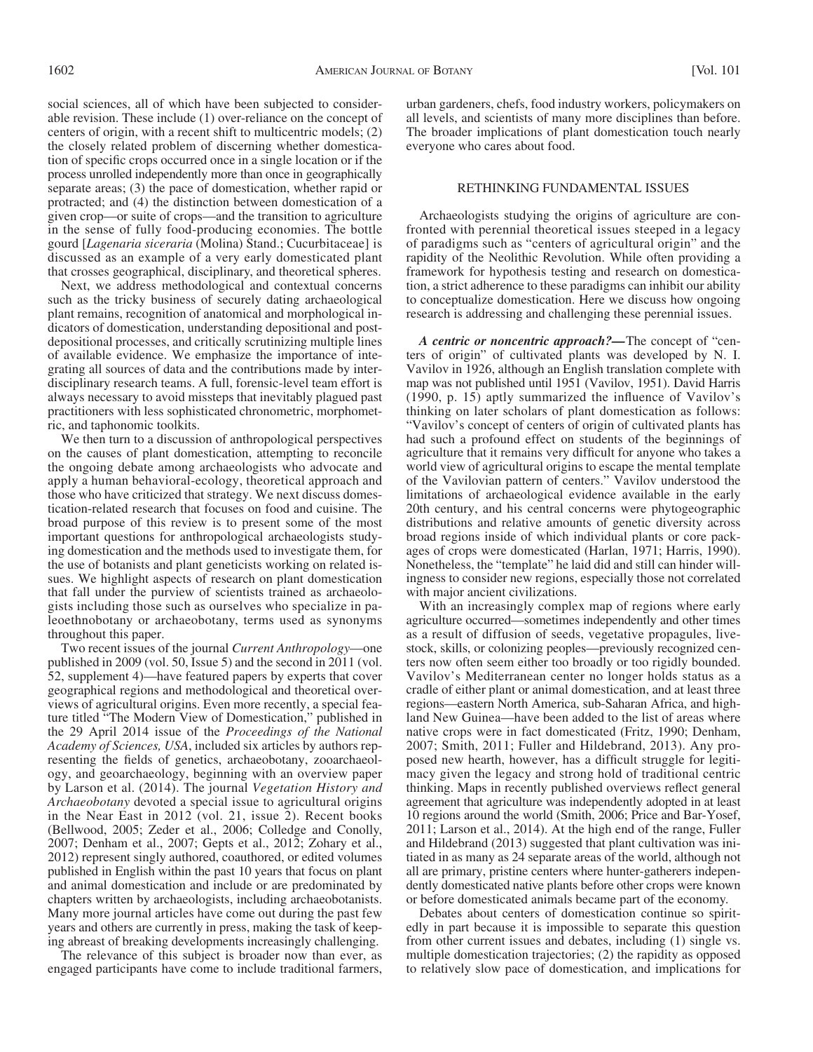social sciences, all of which have been subjected to considerable revision. These include (1) over-reliance on the concept of centers of origin, with a recent shift to multicentric models; (2) the closely related problem of discerning whether domestication of specific crops occurred once in a single location or if the process unrolled independently more than once in geographically separate areas; (3) the pace of domestication, whether rapid or protracted; and (4) the distinction between domestication of a given crop—or suite of crops—and the transition to agriculture in the sense of fully food-producing economies. The bottle gourd [ *Lagenaria siceraria* (Molina) Stand.; Cucurbitaceae] is discussed as an example of a very early domesticated plant that crosses geographical, disciplinary, and theoretical spheres.

 Next, we address methodological and contextual concerns such as the tricky business of securely dating archaeological plant remains, recognition of anatomical and morphological indicators of domestication, understanding depositional and postdepositional processes, and critically scrutinizing multiple lines of available evidence. We emphasize the importance of integrating all sources of data and the contributions made by interdisciplinary research teams. A full, forensic-level team effort is always necessary to avoid missteps that inevitably plagued past practitioners with less sophisticated chronometric, morphometric, and taphonomic toolkits.

 We then turn to a discussion of anthropological perspectives on the causes of plant domestication, attempting to reconcile the ongoing debate among archaeologists who advocate and apply a human behavioral-ecology, theoretical approach and those who have criticized that strategy. We next discuss domestication-related research that focuses on food and cuisine. The broad purpose of this review is to present some of the most important questions for anthropological archaeologists studying domestication and the methods used to investigate them, for the use of botanists and plant geneticists working on related issues. We highlight aspects of research on plant domestication that fall under the purview of scientists trained as archaeologists including those such as ourselves who specialize in paleoethnobotany or archaeobotany, terms used as synonyms throughout this paper.

 Two recent issues of the journal *Current Anthropology* —one published in 2009 (vol. 50, Issue 5) and the second in 2011 (vol. 52, supplement 4)—have featured papers by experts that cover geographical regions and methodological and theoretical overviews of agricultural origins. Even more recently, a special feature titled "The Modern View of Domestication," published in the 29 April 2014 issue of the *Proceedings of the National Academy of Sciences, USA* , included six articles by authors representing the fields of genetics, archaeobotany, zooarchaeology, and geoarchaeology, beginning with an overview paper by Larson et al. (2014) . The journal *Vegetation History and Archaeobotany* devoted a special issue to agricultural origins in the Near East in 2012 (vol. 21, issue 2). Recent books (Bellwood, 2005; Zeder et al., 2006; Colledge and Conolly, 2007; Denham et al., 2007; Gepts et al., 2012; Zohary et al., 2012 ) represent singly authored, coauthored, or edited volumes published in English within the past 10 years that focus on plant and animal domestication and include or are predominated by chapters written by archaeologists, including archaeobotanists. Many more journal articles have come out during the past few years and others are currently in press, making the task of keeping abreast of breaking developments increasingly challenging.

 The relevance of this subject is broader now than ever, as engaged participants have come to include traditional farmers, urban gardeners, chefs, food industry workers, policymakers on all levels, and scientists of many more disciplines than before. The broader implications of plant domestication touch nearly everyone who cares about food.

## RETHINKING FUNDAMENTAL ISSUES

 Archaeologists studying the origins of agriculture are confronted with perennial theoretical issues steeped in a legacy of paradigms such as "centers of agricultural origin" and the rapidity of the Neolithic Revolution. While often providing a framework for hypothesis testing and research on domestication, a strict adherence to these paradigms can inhibit our ability to conceptualize domestication. Here we discuss how ongoing research is addressing and challenging these perennial issues.

*A centric or noncentric approach? —* The concept of "centers of origin" of cultivated plants was developed by N. I. Vavilov in 1926, although an English translation complete with map was not published until 1951 (Vavilov, 1951). David Harris  $(1990, p. 15)$  aptly summarized the influence of Vavilov's thinking on later scholars of plant domestication as follows: "Vavilov's concept of centers of origin of cultivated plants has had such a profound effect on students of the beginnings of agriculture that it remains very difficult for anyone who takes a world view of agricultural origins to escape the mental template of the Vavilovian pattern of centers." Vavilov understood the limitations of archaeological evidence available in the early 20th century, and his central concerns were phytogeographic distributions and relative amounts of genetic diversity across broad regions inside of which individual plants or core packages of crops were domesticated (Harlan, 1971; Harris, 1990). Nonetheless, the "template" he laid did and still can hinder willingness to consider new regions, especially those not correlated with major ancient civilizations.

 With an increasingly complex map of regions where early agriculture occurred—sometimes independently and other times as a result of diffusion of seeds, vegetative propagules, livestock, skills, or colonizing peoples—previously recognized centers now often seem either too broadly or too rigidly bounded. Vavilov's Mediterranean center no longer holds status as a cradle of either plant or animal domestication, and at least three regions—eastern North America, sub-Saharan Africa, and highland New Guinea—have been added to the list of areas where native crops were in fact domesticated (Fritz, 1990; Denham, 2007; Smith, 2011; Fuller and Hildebrand, 2013). Any proposed new hearth, however, has a difficult struggle for legitimacy given the legacy and strong hold of traditional centric thinking. Maps in recently published overviews reflect general agreement that agriculture was independently adopted in at least 10 regions around the world (Smith, 2006; Price and Bar-Yosef, 2011; Larson et al., 2014). At the high end of the range, Fuller and Hildebrand (2013) suggested that plant cultivation was initiated in as many as 24 separate areas of the world, although not all are primary, pristine centers where hunter-gatherers independently domesticated native plants before other crops were known or before domesticated animals became part of the economy.

 Debates about centers of domestication continue so spiritedly in part because it is impossible to separate this question from other current issues and debates, including (1) single vs. multiple domestication trajectories; (2) the rapidity as opposed to relatively slow pace of domestication, and implications for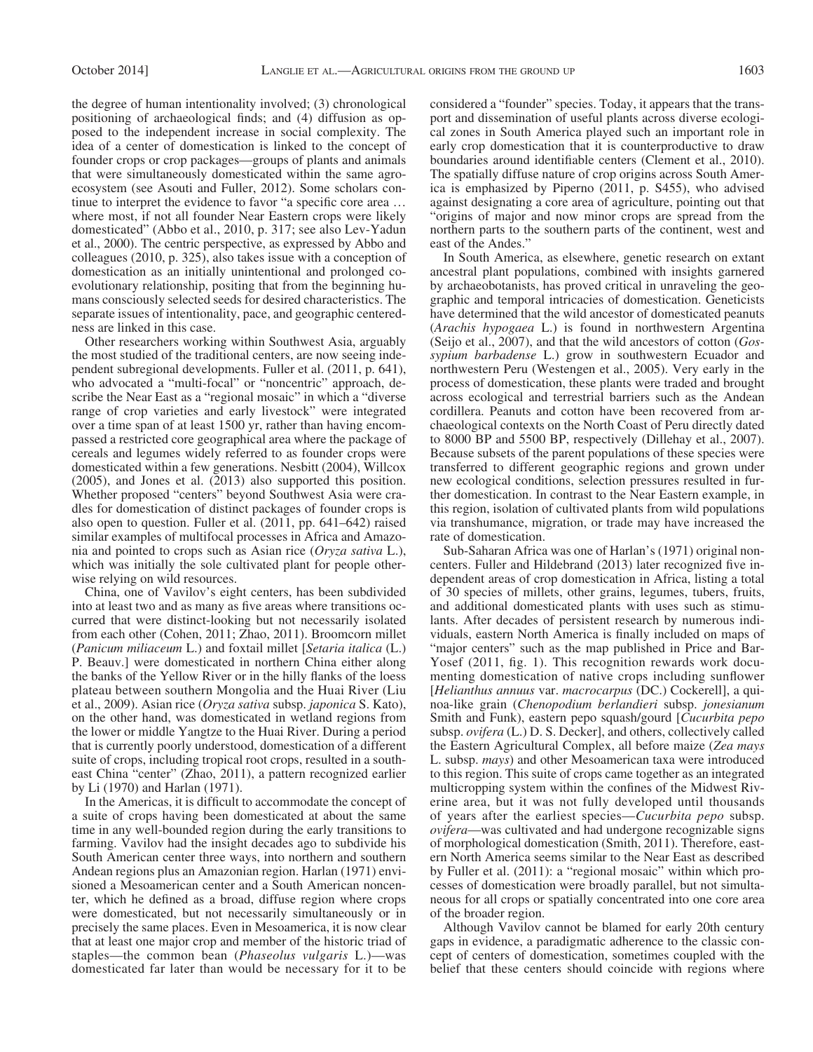the degree of human intentionality involved; (3) chronological positioning of archaeological finds; and (4) diffusion as opposed to the independent increase in social complexity. The idea of a center of domestication is linked to the concept of founder crops or crop packages—groups of plants and animals that were simultaneously domesticated within the same agroecosystem (see Asouti and Fuller, 2012). Some scholars continue to interpret the evidence to favor "a specific core area ... where most, if not all founder Near Eastern crops were likely domesticated" (Abbo et al., 2010, p. 317; see also Lev-Yadun et al., 2000). The centric perspective, as expressed by Abbo and colleagues (2010, p. 325), also takes issue with a conception of domestication as an initially unintentional and prolonged coevolutionary relationship, positing that from the beginning humans consciously selected seeds for desired characteristics. The separate issues of intentionality, pace, and geographic centeredness are linked in this case.

 Other researchers working within Southwest Asia, arguably the most studied of the traditional centers, are now seeing independent subregional developments. Fuller et al. (2011 , p. 641), who advocated a "multi-focal" or "noncentric" approach, describe the Near East as a "regional mosaic" in which a "diverse range of crop varieties and early livestock" were integrated over a time span of at least 1500 yr, rather than having encompassed a restricted core geographical area where the package of cereals and legumes widely referred to as founder crops were domesticated within a few generations. Nesbitt (2004), Willcox (2005) , and Jones et al. (2013) also supported this position. Whether proposed "centers" beyond Southwest Asia were cradles for domestication of distinct packages of founder crops is also open to question. Fuller et al. (2011 , pp. 641–642) raised similar examples of multifocal processes in Africa and Amazonia and pointed to crops such as Asian rice ( *Oryza sativa* L.), which was initially the sole cultivated plant for people otherwise relying on wild resources.

 China, one of Vavilov's eight centers, has been subdivided into at least two and as many as five areas where transitions occurred that were distinct-looking but not necessarily isolated from each other (Cohen, 2011; Zhao, 2011). Broomcorn millet ( *Panicum miliaceum* L.) and foxtail millet [ *Setaria italica* (L.) P. Beauv.] were domesticated in northern China either along the banks of the Yellow River or in the hilly flanks of the loess plateau between southern Mongolia and the Huai River ( Liu et al., 2009 ). Asian rice ( *Oryza sativa* subsp. *japonica* S. Kato), on the other hand, was domesticated in wetland regions from the lower or middle Yangtze to the Huai River. During a period that is currently poorly understood, domestication of a different suite of crops, including tropical root crops, resulted in a southeast China "center" (Zhao, 2011), a pattern recognized earlier by Li (1970) and Harlan (1971) .

In the Americas, it is difficult to accommodate the concept of a suite of crops having been domesticated at about the same time in any well-bounded region during the early transitions to farming. Vavilov had the insight decades ago to subdivide his South American center three ways, into northern and southern Andean regions plus an Amazonian region. Harlan (1971) envisioned a Mesoamerican center and a South American noncenter, which he defined as a broad, diffuse region where crops were domesticated, but not necessarily simultaneously or in precisely the same places. Even in Mesoamerica, it is now clear that at least one major crop and member of the historic triad of staples—the common bean ( *Phaseolus vulgaris* L.)—was domesticated far later than would be necessary for it to be

considered a "founder" species. Today, it appears that the transport and dissemination of useful plants across diverse ecological zones in South America played such an important role in early crop domestication that it is counterproductive to draw boundaries around identifiable centers (Clement et al., 2010). The spatially diffuse nature of crop origins across South America is emphasized by Piperno (2011, p. S455), who advised against designating a core area of agriculture, pointing out that "origins of major and now minor crops are spread from the northern parts to the southern parts of the continent, west and east of the Andes."

 In South America, as elsewhere, genetic research on extant ancestral plant populations, combined with insights garnered by archaeobotanists, has proved critical in unraveling the geographic and temporal intricacies of domestication. Geneticists have determined that the wild ancestor of domesticated peanuts ( *Arachis hypogaea* L.) is found in northwestern Argentina ( Seijo et al., 2007 ), and that the wild ancestors of cotton ( *Gossypium barbadense* L.) grow in southwestern Ecuador and northwestern Peru (Westengen et al., 2005). Very early in the process of domestication, these plants were traded and brought across ecological and terrestrial barriers such as the Andean cordillera. Peanuts and cotton have been recovered from archaeological contexts on the North Coast of Peru directly dated to 8000 BP and 5500 BP, respectively (Dillehay et al., 2007). Because subsets of the parent populations of these species were transferred to different geographic regions and grown under new ecological conditions, selection pressures resulted in further domestication. In contrast to the Near Eastern example, in this region, isolation of cultivated plants from wild populations via transhumance, migration, or trade may have increased the rate of domestication.

 Sub-Saharan Africa was one of Harlan's (1971) original noncenters. Fuller and Hildebrand (2013) later recognized five independent areas of crop domestication in Africa, listing a total of 30 species of millets, other grains, legumes, tubers, fruits, and additional domesticated plants with uses such as stimulants. After decades of persistent research by numerous individuals, eastern North America is finally included on maps of "major centers" such as the map published in Price and Bar-Yosef (2011, fig. 1). This recognition rewards work documenting domestication of native crops including sunflower [ *Helianthus annuus* var. *macrocarpus* (DC.) Cockerell], a quinoa-like grain ( *Chenopodium berlandieri* subsp. *jonesianum* Smith and Funk), eastern pepo squash/gourd [ *Cucurbita pepo* subsp. *ovifera* (L.) D. S. Decker], and others, collectively called the Eastern Agricultural Complex, all before maize ( *Zea mays* L. subsp. *mays* ) and other Mesoamerican taxa were introduced to this region. This suite of crops came together as an integrated multicropping system within the confines of the Midwest Riverine area, but it was not fully developed until thousands of years after the earliest species— *Cucurbita pepo* subsp. *ovifera*—was cultivated and had undergone recognizable signs of morphological domestication ( Smith, 2011 ). Therefore, eastern North America seems similar to the Near East as described by Fuller et al. (2011): a "regional mosaic" within which processes of domestication were broadly parallel, but not simultaneous for all crops or spatially concentrated into one core area of the broader region.

 Although Vavilov cannot be blamed for early 20th century gaps in evidence, a paradigmatic adherence to the classic concept of centers of domestication, sometimes coupled with the belief that these centers should coincide with regions where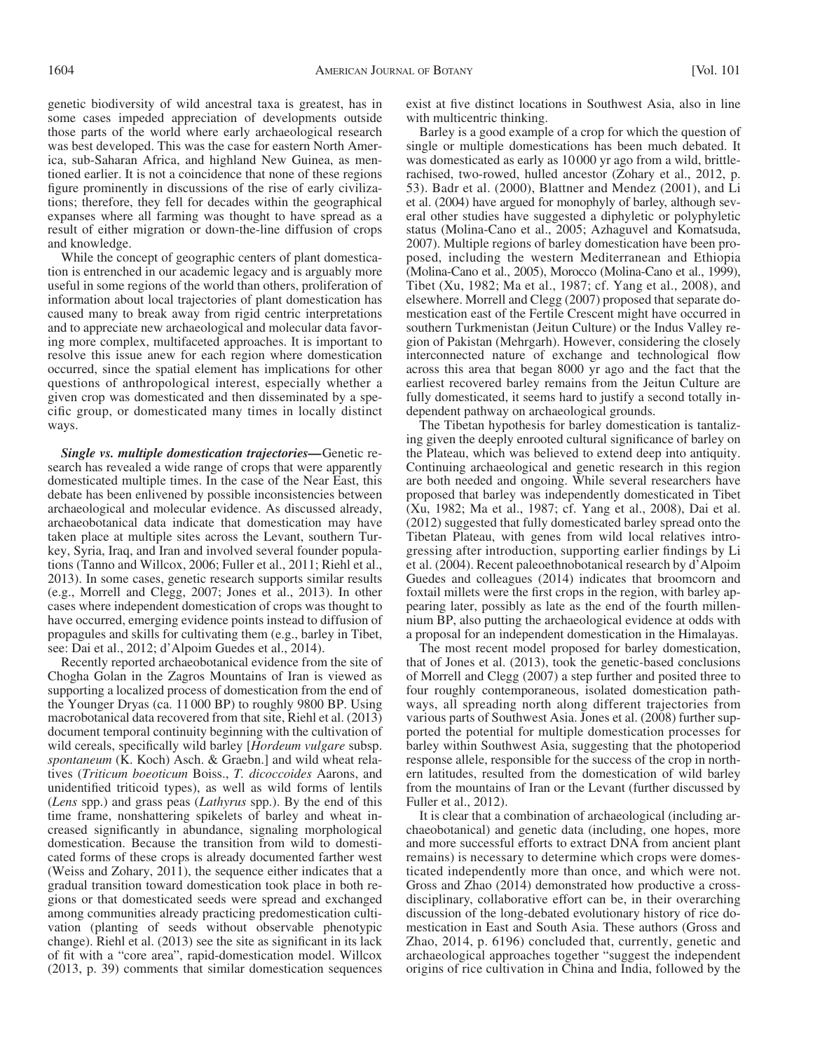genetic biodiversity of wild ancestral taxa is greatest, has in some cases impeded appreciation of developments outside those parts of the world where early archaeological research was best developed. This was the case for eastern North America, sub-Saharan Africa, and highland New Guinea, as mentioned earlier. It is not a coincidence that none of these regions figure prominently in discussions of the rise of early civilizations; therefore, they fell for decades within the geographical expanses where all farming was thought to have spread as a result of either migration or down-the-line diffusion of crops and knowledge.

 While the concept of geographic centers of plant domestication is entrenched in our academic legacy and is arguably more useful in some regions of the world than others, proliferation of information about local trajectories of plant domestication has caused many to break away from rigid centric interpretations and to appreciate new archaeological and molecular data favoring more complex, multifaceted approaches. It is important to resolve this issue anew for each region where domestication occurred, since the spatial element has implications for other questions of anthropological interest, especially whether a given crop was domesticated and then disseminated by a specific group, or domesticated many times in locally distinct ways.

*Single vs. multiple domestication trajectories —* Genetic research has revealed a wide range of crops that were apparently domesticated multiple times. In the case of the Near East, this debate has been enlivened by possible inconsistencies between archaeological and molecular evidence. As discussed already, archaeobotanical data indicate that domestication may have taken place at multiple sites across the Levant, southern Turkey, Syria, Iraq, and Iran and involved several founder populations (Tanno and Willcox, 2006; Fuller et al., 2011; Riehl et al., 2013 ). In some cases, genetic research supports similar results (e.g., Morrell and Clegg, 2007; Jones et al., 2013). In other cases where independent domestication of crops was thought to have occurred, emerging evidence points instead to diffusion of propagules and skills for cultivating them (e.g., barley in Tibet, see: Dai et al., 2012; d'Alpoim Guedes et al., 2014).

 Recently reported archaeobotanical evidence from the site of Chogha Golan in the Zagros Mountains of Iran is viewed as supporting a localized process of domestication from the end of the Younger Dryas (ca. 11 000 BP) to roughly 9800 BP. Using macrobotanical data recovered from that site, Riehl et al. (2013) document temporal continuity beginning with the cultivation of wild cereals, specifically wild barley [*Hordeum vulgare* subsp. *spontaneum* (K. Koch) Asch. & Graebn.] and wild wheat relatives ( *Triticum boeoticum* Boiss., *T. dicoccoides* Aarons, and unidentified triticoid types), as well as wild forms of lentils ( *Lens* spp.) and grass peas ( *Lathyrus* spp.). By the end of this time frame, nonshattering spikelets of barley and wheat increased significantly in abundance, signaling morphological domestication. Because the transition from wild to domesticated forms of these crops is already documented farther west ( Weiss and Zohary, 2011 ), the sequence either indicates that a gradual transition toward domestication took place in both regions or that domesticated seeds were spread and exchanged among communities already practicing predomestication cultivation (planting of seeds without observable phenotypic change). Riehl et al.  $(2013)$  see the site as significant in its lack of fit with a "core area", rapid-domestication model. Willcox (2013, p. 39) comments that similar domestication sequences

exist at five distinct locations in Southwest Asia, also in line with multicentric thinking.

 Barley is a good example of a crop for which the question of single or multiple domestications has been much debated. It was domesticated as early as 10 000 yr ago from a wild, brittlerachised, two-rowed, hulled ancestor (Zohary et al., 2012, p. 53). Badr et al. (2000), Blattner and Mendez (2001), and Li et al. (2004) have argued for monophyly of barley, although several other studies have suggested a diphyletic or polyphyletic status (Molina-Cano et al., 2005; Azhaguvel and Komatsuda, 2007 ). Multiple regions of barley domestication have been proposed, including the western Mediterranean and Ethiopia (Molina-Cano et al., 2005), Morocco (Molina-Cano et al., 1999), Tibet (Xu, 1982; Ma et al., 1987; cf. Yang et al., 2008), and elsewhere. Morrell and Clegg (2007) proposed that separate domestication east of the Fertile Crescent might have occurred in southern Turkmenistan (Jeitun Culture) or the Indus Valley region of Pakistan (Mehrgarh). However, considering the closely interconnected nature of exchange and technological flow across this area that began 8000 yr ago and the fact that the earliest recovered barley remains from the Jeitun Culture are fully domesticated, it seems hard to justify a second totally independent pathway on archaeological grounds.

 The Tibetan hypothesis for barley domestication is tantalizing given the deeply enrooted cultural significance of barley on the Plateau, which was believed to extend deep into antiquity. Continuing archaeological and genetic research in this region are both needed and ongoing. While several researchers have proposed that barley was independently domesticated in Tibet (Xu, 1982; Ma et al., 1987; cf. Yang et al., 2008), Dai et al. (2012) suggested that fully domesticated barley spread onto the Tibetan Plateau, with genes from wild local relatives introgressing after introduction, supporting earlier findings by Li et al. (2004) . Recent paleoethnobotanical research by d'Alpoim Guedes and colleagues (2014) indicates that broomcorn and foxtail millets were the first crops in the region, with barley appearing later, possibly as late as the end of the fourth millennium BP, also putting the archaeological evidence at odds with a proposal for an independent domestication in the Himalayas.

 The most recent model proposed for barley domestication, that of Jones et al. (2013) , took the genetic-based conclusions of Morrell and Clegg (2007) a step further and posited three to four roughly contemporaneous, isolated domestication pathways, all spreading north along different trajectories from various parts of Southwest Asia. Jones et al. (2008) further supported the potential for multiple domestication processes for barley within Southwest Asia, suggesting that the photoperiod response allele, responsible for the success of the crop in northern latitudes, resulted from the domestication of wild barley from the mountains of Iran or the Levant (further discussed by Fuller et al., 2012).

 It is clear that a combination of archaeological (including archaeobotanical) and genetic data (including, one hopes, more and more successful efforts to extract DNA from ancient plant remains) is necessary to determine which crops were domesticated independently more than once, and which were not. Gross and Zhao (2014) demonstrated how productive a crossdisciplinary, collaborative effort can be, in their overarching discussion of the long-debated evolutionary history of rice domestication in East and South Asia. These authors ( Gross and Zhao, 2014, p. 6196) concluded that, currently, genetic and archaeological approaches together "suggest the independent origins of rice cultivation in China and India, followed by the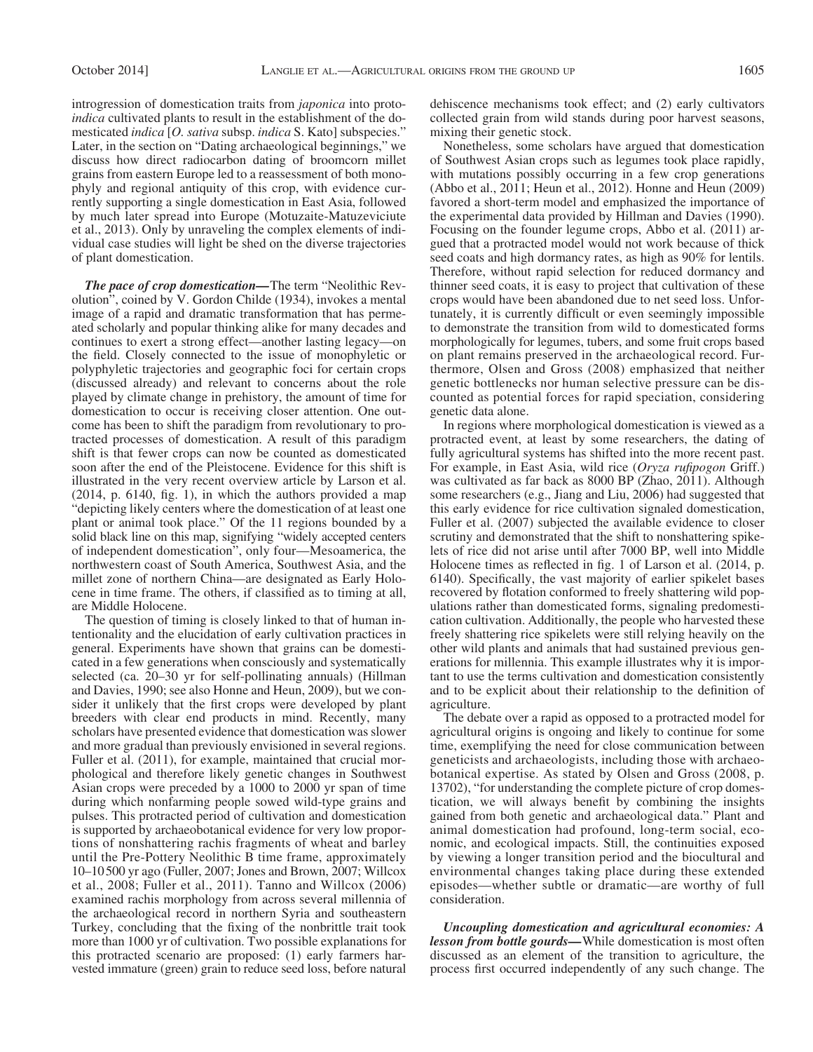introgression of domestication traits from *japonica* into proto*indica* cultivated plants to result in the establishment of the domesticated *indica* [O. sativa subsp. *indica* S. Kato] subspecies." Later, in the section on "Dating archaeological beginnings," we discuss how direct radiocarbon dating of broomcorn millet grains from eastern Europe led to a reassessment of both monophyly and regional antiquity of this crop, with evidence currently supporting a single domestication in East Asia, followed by much later spread into Europe (Motuzaite-Matuzeviciute et al., 2013 ). Only by unraveling the complex elements of individual case studies will light be shed on the diverse trajectories of plant domestication.

*The pace of crop domestication —* The term "Neolithic Revolution", coined by V. Gordon Childe (1934), invokes a mental image of a rapid and dramatic transformation that has permeated scholarly and popular thinking alike for many decades and continues to exert a strong effect—another lasting legacy—on the field. Closely connected to the issue of monophyletic or polyphyletic trajectories and geographic foci for certain crops (discussed already) and relevant to concerns about the role played by climate change in prehistory, the amount of time for domestication to occur is receiving closer attention. One outcome has been to shift the paradigm from revolutionary to protracted processes of domestication. A result of this paradigm shift is that fewer crops can now be counted as domesticated soon after the end of the Pleistocene. Evidence for this shift is illustrated in the very recent overview article by Larson et al.  $(2014, p. 6140, fig. 1)$ , in which the authors provided a map "depicting likely centers where the domestication of at least one plant or animal took place." Of the 11 regions bounded by a solid black line on this map, signifying "widely accepted centers of independent domestication", only four—Mesoamerica, the northwestern coast of South America, Southwest Asia, and the millet zone of northern China—are designated as Early Holocene in time frame. The others, if classified as to timing at all, are Middle Holocene.

 The question of timing is closely linked to that of human intentionality and the elucidation of early cultivation practices in general. Experiments have shown that grains can be domesticated in a few generations when consciously and systematically selected (ca. 20–30 yr for self-pollinating annuals) (Hillman and Davies, 1990; see also Honne and Heun, 2009), but we consider it unlikely that the first crops were developed by plant breeders with clear end products in mind. Recently, many scholars have presented evidence that domestication was slower and more gradual than previously envisioned in several regions. Fuller et al. (2011), for example, maintained that crucial morphological and therefore likely genetic changes in Southwest Asian crops were preceded by a 1000 to 2000 yr span of time during which nonfarming people sowed wild-type grains and pulses. This protracted period of cultivation and domestication is supported by archaeobotanical evidence for very low proportions of nonshattering rachis fragments of wheat and barley until the Pre-Pottery Neolithic B time frame, approximately 10–10 500 yr ago ( Fuller, 2007 ; Jones and Brown, 2007 ; Willcox et al., 2008; Fuller et al., 2011). Tanno and Willcox (2006) examined rachis morphology from across several millennia of the archaeological record in northern Syria and southeastern Turkey, concluding that the fixing of the nonbrittle trait took more than 1000 yr of cultivation. Two possible explanations for this protracted scenario are proposed: (1) early farmers harvested immature (green) grain to reduce seed loss, before natural

dehiscence mechanisms took effect; and (2) early cultivators collected grain from wild stands during poor harvest seasons, mixing their genetic stock.

 Nonetheless, some scholars have argued that domestication of Southwest Asian crops such as legumes took place rapidly, with mutations possibly occurring in a few crop generations (Abbo et al., 2011; Heun et al., 2012). Honne and Heun (2009) favored a short-term model and emphasized the importance of the experimental data provided by Hillman and Davies (1990) . Focusing on the founder legume crops, Abbo et al. (2011) argued that a protracted model would not work because of thick seed coats and high dormancy rates, as high as 90% for lentils. Therefore, without rapid selection for reduced dormancy and thinner seed coats, it is easy to project that cultivation of these crops would have been abandoned due to net seed loss. Unfortunately, it is currently difficult or even seemingly impossible to demonstrate the transition from wild to domesticated forms morphologically for legumes, tubers, and some fruit crops based on plant remains preserved in the archaeological record. Furthermore, Olsen and Gross (2008) emphasized that neither genetic bottlenecks nor human selective pressure can be discounted as potential forces for rapid speciation, considering genetic data alone.

 In regions where morphological domestication is viewed as a protracted event, at least by some researchers, the dating of fully agricultural systems has shifted into the more recent past. For example, in East Asia, wild rice (Oryza rufipogon Griff.) was cultivated as far back as 8000 BP (Zhao, 2011). Although some researchers (e.g., Jiang and Liu, 2006) had suggested that this early evidence for rice cultivation signaled domestication, Fuller et al. (2007) subjected the available evidence to closer scrutiny and demonstrated that the shift to nonshattering spikelets of rice did not arise until after 7000 BP, well into Middle Holocene times as reflected in fig. 1 of Larson et al. (2014, p. 6140). Specifically, the vast majority of earlier spikelet bases recovered by flotation conformed to freely shattering wild populations rather than domesticated forms, signaling predomestication cultivation. Additionally, the people who harvested these freely shattering rice spikelets were still relying heavily on the other wild plants and animals that had sustained previous generations for millennia. This example illustrates why it is important to use the terms cultivation and domestication consistently and to be explicit about their relationship to the definition of agriculture.

 The debate over a rapid as opposed to a protracted model for agricultural origins is ongoing and likely to continue for some time, exemplifying the need for close communication between geneticists and archaeologists, including those with archaeobotanical expertise. As stated by Olsen and Gross (2008, p. 13702), "for understanding the complete picture of crop domestication, we will always benefit by combining the insights gained from both genetic and archaeological data." Plant and animal domestication had profound, long-term social, economic, and ecological impacts. Still, the continuities exposed by viewing a longer transition period and the biocultural and environmental changes taking place during these extended episodes—whether subtle or dramatic—are worthy of full consideration.

*Uncoupling domestication and agricultural economies: A lesson from bottle gourds —* While domestication is most often discussed as an element of the transition to agriculture, the process first occurred independently of any such change. The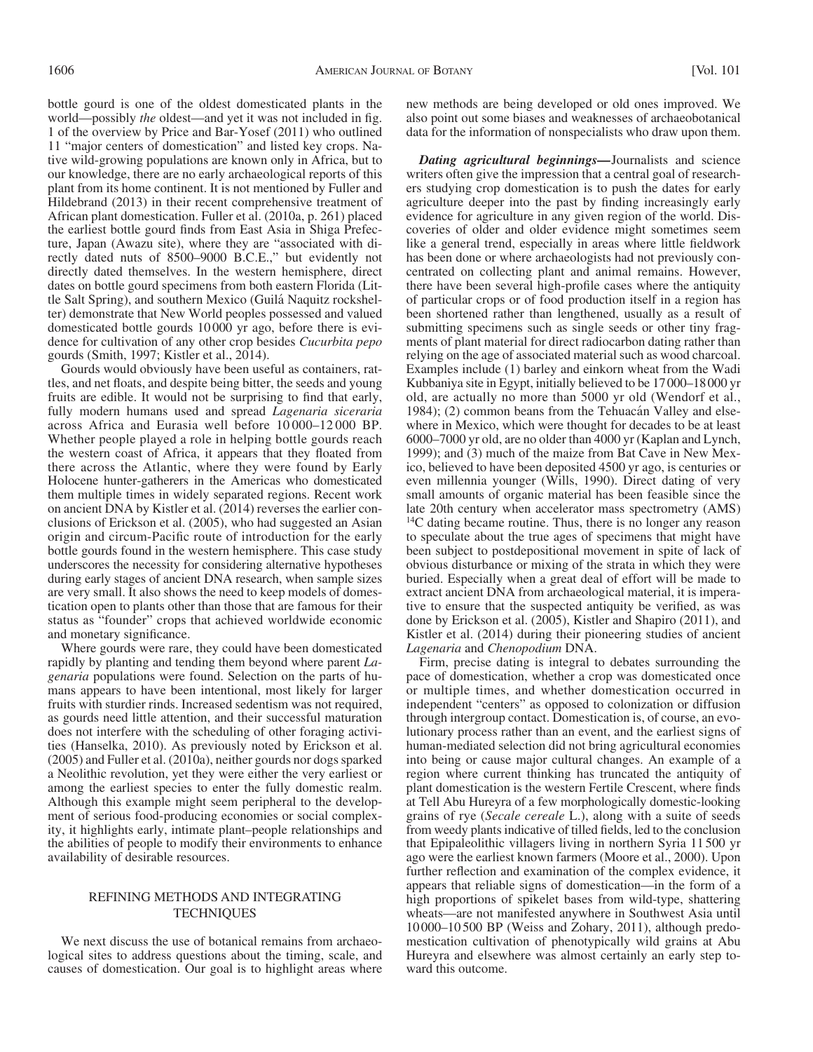bottle gourd is one of the oldest domesticated plants in the world—possibly *the* oldest—and yet it was not included in fig. 1 of the overview by Price and Bar-Yosef (2011) who outlined 11 "major centers of domestication" and listed key crops. Native wild-growing populations are known only in Africa, but to our knowledge, there are no early archaeological reports of this plant from its home continent. It is not mentioned by Fuller and Hildebrand (2013) in their recent comprehensive treatment of African plant domestication. Fuller et al. (2010a, p. 261) placed the earliest bottle gourd finds from East Asia in Shiga Prefecture, Japan (Awazu site), where they are "associated with directly dated nuts of 8500–9000 B.C.E.," but evidently not directly dated themselves. In the western hemisphere, direct dates on bottle gourd specimens from both eastern Florida (Little Salt Spring), and southern Mexico (Guilá Naquitz rockshelter) demonstrate that New World peoples possessed and valued domesticated bottle gourds 10 000 yr ago, before there is evidence for cultivation of any other crop besides *Cucurbita pepo* gourds (Smith, 1997; Kistler et al., 2014).

 Gourds would obviously have been useful as containers, rattles, and net floats, and despite being bitter, the seeds and young fruits are edible. It would not be surprising to find that early, fully modern humans used and spread *Lagenaria siceraria* across Africa and Eurasia well before 10 000–12 000 BP. Whether people played a role in helping bottle gourds reach the western coast of Africa, it appears that they floated from there across the Atlantic, where they were found by Early Holocene hunter-gatherers in the Americas who domesticated them multiple times in widely separated regions. Recent work on ancient DNA by Kistler et al. (2014) reverses the earlier conclusions of Erickson et al. (2005), who had suggested an Asian origin and circum-Pacific route of introduction for the early bottle gourds found in the western hemisphere. This case study underscores the necessity for considering alternative hypotheses during early stages of ancient DNA research, when sample sizes are very small. It also shows the need to keep models of domestication open to plants other than those that are famous for their status as "founder" crops that achieved worldwide economic and monetary significance.

 Where gourds were rare, they could have been domesticated rapidly by planting and tending them beyond where parent *Lagenaria* populations were found. Selection on the parts of humans appears to have been intentional, most likely for larger fruits with sturdier rinds. Increased sedentism was not required, as gourds need little attention, and their successful maturation does not interfere with the scheduling of other foraging activities (Hanselka, 2010). As previously noted by Erickson et al. (2005) and Fuller et al. (2010a) , neither gourds nor dogs sparked a Neolithic revolution, yet they were either the very earliest or among the earliest species to enter the fully domestic realm. Although this example might seem peripheral to the development of serious food-producing economies or social complexity, it highlights early, intimate plant–people relationships and the abilities of people to modify their environments to enhance availability of desirable resources.

# REFINING METHODS AND INTEGRATING **TECHNIQUES**

 We next discuss the use of botanical remains from archaeological sites to address questions about the timing, scale, and causes of domestication. Our goal is to highlight areas where new methods are being developed or old ones improved. We also point out some biases and weaknesses of archaeobotanical data for the information of nonspecialists who draw upon them.

*Dating agricultural beginnings —* Journalists and science writers often give the impression that a central goal of researchers studying crop domestication is to push the dates for early agriculture deeper into the past by finding increasingly early evidence for agriculture in any given region of the world. Discoveries of older and older evidence might sometimes seem like a general trend, especially in areas where little fieldwork has been done or where archaeologists had not previously concentrated on collecting plant and animal remains. However, there have been several high-profile cases where the antiquity of particular crops or of food production itself in a region has been shortened rather than lengthened, usually as a result of submitting specimens such as single seeds or other tiny fragments of plant material for direct radiocarbon dating rather than relying on the age of associated material such as wood charcoal. Examples include (1) barley and einkorn wheat from the Wadi Kubbaniya site in Egypt, initially believed to be 17 000–18 000 yr old, are actually no more than 5000 yr old (Wendorf et al., 1984); (2) common beans from the Tehuacán Valley and elsewhere in Mexico, which were thought for decades to be at least 6000–7000 yr old, are no older than 4000 yr ( Kaplan and Lynch, 1999); and (3) much of the maize from Bat Cave in New Mexico, believed to have been deposited 4500 yr ago, is centuries or even millennia younger (Wills, 1990). Direct dating of very small amounts of organic material has been feasible since the late 20th century when accelerator mass spectrometry (AMS)  $14$ C dating became routine. Thus, there is no longer any reason to speculate about the true ages of specimens that might have been subject to postdepositional movement in spite of lack of obvious disturbance or mixing of the strata in which they were buried. Especially when a great deal of effort will be made to extract ancient DNA from archaeological material, it is imperative to ensure that the suspected antiquity be verified, as was done by Erickson et al. (2005), Kistler and Shapiro (2011), and Kistler et al. (2014) during their pioneering studies of ancient *Lagenaria* and *Chenopodium* DNA.

 Firm, precise dating is integral to debates surrounding the pace of domestication, whether a crop was domesticated once or multiple times, and whether domestication occurred in independent "centers" as opposed to colonization or diffusion through intergroup contact. Domestication is, of course, an evolutionary process rather than an event, and the earliest signs of human-mediated selection did not bring agricultural economies into being or cause major cultural changes. An example of a region where current thinking has truncated the antiquity of plant domestication is the western Fertile Crescent, where finds at Tell Abu Hureyra of a few morphologically domestic-looking grains of rye ( *Secale cereale* L.), along with a suite of seeds from weedy plants indicative of tilled fields, led to the conclusion that Epipaleolithic villagers living in northern Syria 11 500 yr ago were the earliest known farmers (Moore et al., 2000). Upon further reflection and examination of the complex evidence, it appears that reliable signs of domestication—in the form of a high proportions of spikelet bases from wild-type, shattering wheats—are not manifested anywhere in Southwest Asia until 10 000–10 500 BP ( Weiss and Zohary, 2011 ), although predomestication cultivation of phenotypically wild grains at Abu Hureyra and elsewhere was almost certainly an early step toward this outcome.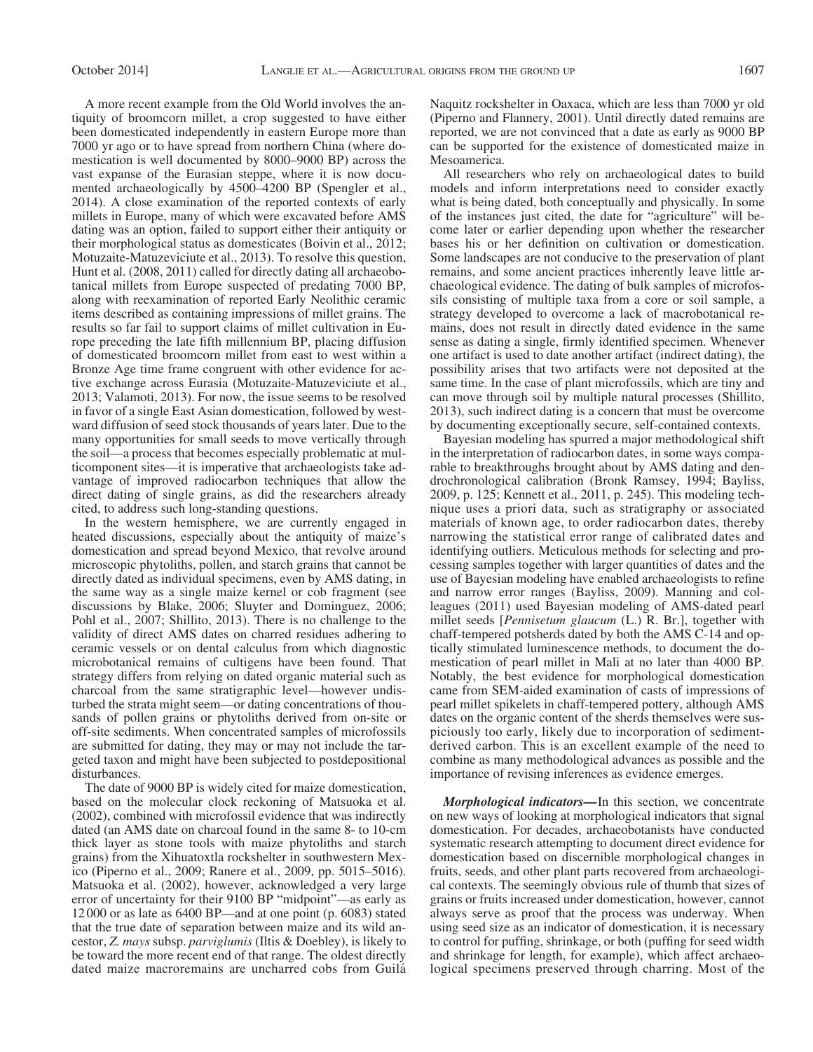A more recent example from the Old World involves the antiquity of broomcorn millet, a crop suggested to have either been domesticated independently in eastern Europe more than 7000 yr ago or to have spread from northern China (where domestication is well documented by 8000–9000 BP) across the vast expanse of the Eurasian steppe, where it is now documented archaeologically by 4500-4200 BP (Spengler et al., 2014). A close examination of the reported contexts of early millets in Europe, many of which were excavated before AMS dating was an option, failed to support either their antiquity or their morphological status as domesticates (Boivin et al., 2012; Motuzaite-Matuzeviciute et al., 2013). To resolve this question, Hunt et al. (2008, 2011) called for directly dating all archaeobotanical millets from Europe suspected of predating 7000 BP, along with reexamination of reported Early Neolithic ceramic items described as containing impressions of millet grains. The results so far fail to support claims of millet cultivation in Europe preceding the late fifth millennium BP, placing diffusion of domesticated broomcorn millet from east to west within a Bronze Age time frame congruent with other evidence for active exchange across Eurasia ( Motuzaite-Matuzeviciute et al., 2013; Valamoti, 2013). For now, the issue seems to be resolved in favor of a single East Asian domestication, followed by westward diffusion of seed stock thousands of years later. Due to the many opportunities for small seeds to move vertically through the soil—a process that becomes especially problematic at multicomponent sites—it is imperative that archaeologists take advantage of improved radiocarbon techniques that allow the direct dating of single grains, as did the researchers already cited, to address such long-standing questions.

 In the western hemisphere, we are currently engaged in heated discussions, especially about the antiquity of maize's domestication and spread beyond Mexico, that revolve around microscopic phytoliths, pollen, and starch grains that cannot be directly dated as individual specimens, even by AMS dating, in the same way as a single maize kernel or cob fragment (see discussions by Blake, 2006; Sluyter and Dominguez, 2006; Pohl et al., 2007; Shillito, 2013). There is no challenge to the validity of direct AMS dates on charred residues adhering to ceramic vessels or on dental calculus from which diagnostic microbotanical remains of cultigens have been found. That strategy differs from relying on dated organic material such as charcoal from the same stratigraphic level—however undisturbed the strata might seem—or dating concentrations of thousands of pollen grains or phytoliths derived from on-site or off-site sediments. When concentrated samples of microfossils are submitted for dating, they may or may not include the targeted taxon and might have been subjected to postdepositional disturbances.

 The date of 9000 BP is widely cited for maize domestication, based on the molecular clock reckoning of Matsuoka et al. (2002) , combined with microfossil evidence that was indirectly dated (an AMS date on charcoal found in the same 8- to 10-cm thick layer as stone tools with maize phytoliths and starch grains) from the Xihuatoxtla rockshelter in southwestern Mexico (Piperno et al., 2009; Ranere et al., 2009, pp. 5015–5016). Matsuoka et al. (2002), however, acknowledged a very large error of uncertainty for their 9100 BP "midpoint"—as early as 12 000 or as late as 6400 BP—and at one point (p. 6083) stated that the true date of separation between maize and its wild ancestor, *Z. mays* subsp. *parviglumis* (Iltis & Doebley), is likely to be toward the more recent end of that range. The oldest directly dated maize macroremains are uncharred cobs from Guilá

Naquitz rockshelter in Oaxaca, which are less than 7000 yr old ( Piperno and Flannery, 2001 ). Until directly dated remains are reported, we are not convinced that a date as early as 9000 BP can be supported for the existence of domesticated maize in Mesoamerica.

 All researchers who rely on archaeological dates to build models and inform interpretations need to consider exactly what is being dated, both conceptually and physically. In some of the instances just cited, the date for "agriculture" will become later or earlier depending upon whether the researcher bases his or her definition on cultivation or domestication. Some landscapes are not conducive to the preservation of plant remains, and some ancient practices inherently leave little archaeological evidence. The dating of bulk samples of microfossils consisting of multiple taxa from a core or soil sample, a strategy developed to overcome a lack of macrobotanical remains, does not result in directly dated evidence in the same sense as dating a single, firmly identified specimen. Whenever one artifact is used to date another artifact (indirect dating), the possibility arises that two artifacts were not deposited at the same time. In the case of plant microfossils, which are tiny and can move through soil by multiple natural processes (Shillito, 2013 ), such indirect dating is a concern that must be overcome by documenting exceptionally secure, self-contained contexts.

 Bayesian modeling has spurred a major methodological shift in the interpretation of radiocarbon dates, in some ways comparable to breakthroughs brought about by AMS dating and dendrochronological calibration (Bronk Ramsey, 1994; Bayliss, 2009, p. 125; Kennett et al., 2011, p. 245). This modeling technique uses a priori data, such as stratigraphy or associated materials of known age, to order radiocarbon dates, thereby narrowing the statistical error range of calibrated dates and identifying outliers. Meticulous methods for selecting and processing samples together with larger quantities of dates and the use of Bayesian modeling have enabled archaeologists to refine and narrow error ranges (Bayliss, 2009). Manning and colleagues (2011) used Bayesian modeling of AMS-dated pearl millet seeds [ *Pennisetum glaucum* (L.) R. Br.], together with chaff-tempered potsherds dated by both the AMS C-14 and optically stimulated luminescence methods, to document the domestication of pearl millet in Mali at no later than 4000 BP. Notably, the best evidence for morphological domestication came from SEM-aided examination of casts of impressions of pearl millet spikelets in chaff-tempered pottery, although AMS dates on the organic content of the sherds themselves were suspiciously too early, likely due to incorporation of sedimentderived carbon. This is an excellent example of the need to combine as many methodological advances as possible and the importance of revising inferences as evidence emerges.

*Morphological indicators —* In this section, we concentrate on new ways of looking at morphological indicators that signal domestication. For decades, archaeobotanists have conducted systematic research attempting to document direct evidence for domestication based on discernible morphological changes in fruits, seeds, and other plant parts recovered from archaeological contexts. The seemingly obvious rule of thumb that sizes of grains or fruits increased under domestication, however, cannot always serve as proof that the process was underway. When using seed size as an indicator of domestication, it is necessary to control for puffing, shrinkage, or both (puffing for seed width and shrinkage for length, for example), which affect archaeological specimens preserved through charring. Most of the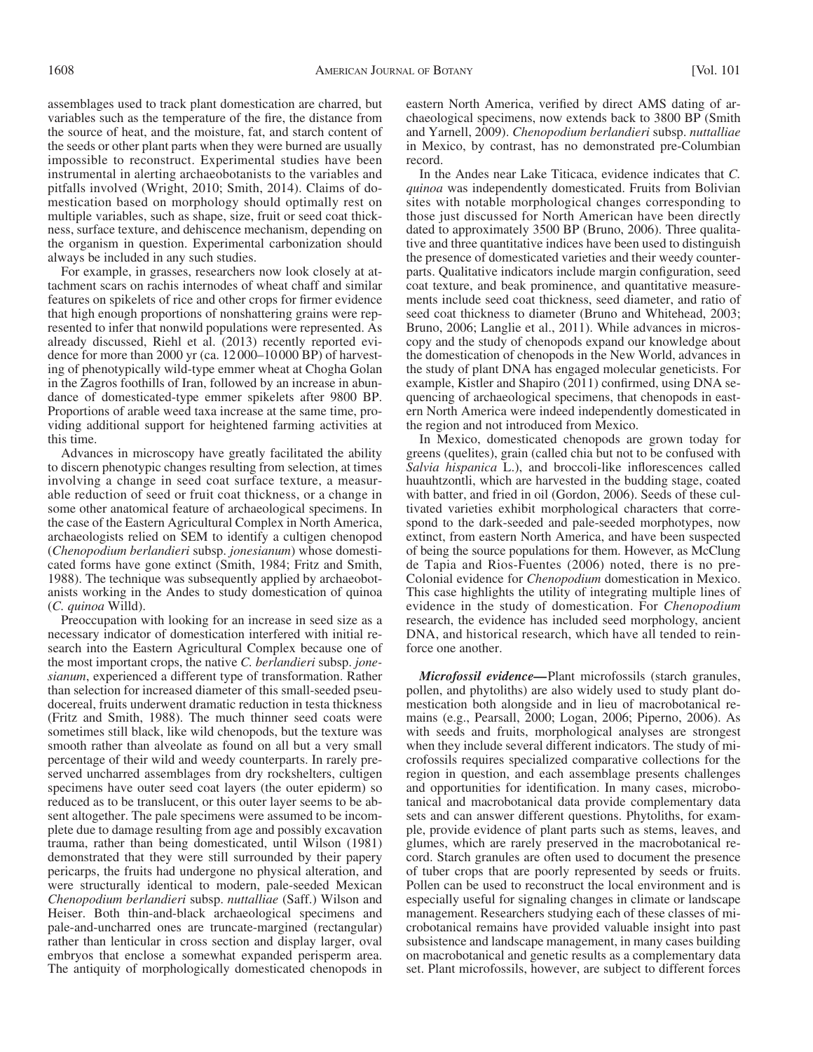assemblages used to track plant domestication are charred, but variables such as the temperature of the fire, the distance from the source of heat, and the moisture, fat, and starch content of the seeds or other plant parts when they were burned are usually impossible to reconstruct. Experimental studies have been instrumental in alerting archaeobotanists to the variables and pitfalls involved (Wright, 2010; Smith, 2014). Claims of domestication based on morphology should optimally rest on multiple variables, such as shape, size, fruit or seed coat thickness, surface texture, and dehiscence mechanism, depending on the organism in question. Experimental carbonization should always be included in any such studies.

 For example, in grasses, researchers now look closely at attachment scars on rachis internodes of wheat chaff and similar features on spikelets of rice and other crops for firmer evidence that high enough proportions of nonshattering grains were represented to infer that nonwild populations were represented. As already discussed, Riehl et al. (2013) recently reported evidence for more than 2000 yr (ca. 12 000–10 000 BP) of harvesting of phenotypically wild-type emmer wheat at Chogha Golan in the Zagros foothills of Iran, followed by an increase in abundance of domesticated-type emmer spikelets after 9800 BP. Proportions of arable weed taxa increase at the same time, providing additional support for heightened farming activities at this time.

 Advances in microscopy have greatly facilitated the ability to discern phenotypic changes resulting from selection, at times involving a change in seed coat surface texture, a measurable reduction of seed or fruit coat thickness, or a change in some other anatomical feature of archaeological specimens. In the case of the Eastern Agricultural Complex in North America, archaeologists relied on SEM to identify a cultigen chenopod ( *Chenopodium berlandieri* subsp. *jonesianum* ) whose domesticated forms have gone extinct (Smith, 1984; Fritz and Smith, 1988). The technique was subsequently applied by archaeobotanists working in the Andes to study domestication of quinoa ( *C. quinoa* Willd).

 Preoccupation with looking for an increase in seed size as a necessary indicator of domestication interfered with initial research into the Eastern Agricultural Complex because one of the most important crops, the native *C. berlandieri* subsp. *jonesianum* , experienced a different type of transformation. Rather than selection for increased diameter of this small-seeded pseudocereal, fruits underwent dramatic reduction in testa thickness ( Fritz and Smith, 1988 ). The much thinner seed coats were sometimes still black, like wild chenopods, but the texture was smooth rather than alveolate as found on all but a very small percentage of their wild and weedy counterparts. In rarely preserved uncharred assemblages from dry rockshelters, cultigen specimens have outer seed coat layers (the outer epiderm) so reduced as to be translucent, or this outer layer seems to be absent altogether. The pale specimens were assumed to be incomplete due to damage resulting from age and possibly excavation trauma, rather than being domesticated, until Wilson (1981) demonstrated that they were still surrounded by their papery pericarps, the fruits had undergone no physical alteration, and were structurally identical to modern, pale-seeded Mexican *Chenopodium berlandieri* subsp. *nuttalliae* (Saff.) Wilson and Heiser. Both thin-and-black archaeological specimens and pale-and-uncharred ones are truncate-margined (rectangular) rather than lenticular in cross section and display larger, oval embryos that enclose a somewhat expanded perisperm area. The antiquity of morphologically domesticated chenopods in

eastern North America, verified by direct AMS dating of archaeological specimens, now extends back to 3800 BP ( Smith and Yarnell, 2009 ). *Chenopodium berlandieri* subsp. *nuttalliae* in Mexico, by contrast, has no demonstrated pre-Columbian record.

 In the Andes near Lake Titicaca, evidence indicates that *C. quinoa* was independently domesticated. Fruits from Bolivian sites with notable morphological changes corresponding to those just discussed for North American have been directly dated to approximately 3500 BP (Bruno, 2006). Three qualitative and three quantitative indices have been used to distinguish the presence of domesticated varieties and their weedy counterparts. Qualitative indicators include margin configuration, seed coat texture, and beak prominence, and quantitative measurements include seed coat thickness, seed diameter, and ratio of seed coat thickness to diameter (Bruno and Whitehead, 2003; Bruno, 2006; Langlie et al., 2011). While advances in microscopy and the study of chenopods expand our knowledge about the domestication of chenopods in the New World, advances in the study of plant DNA has engaged molecular geneticists. For example, Kistler and Shapiro (2011) confirmed, using DNA sequencing of archaeological specimens, that chenopods in eastern North America were indeed independently domesticated in the region and not introduced from Mexico.

 In Mexico, domesticated chenopods are grown today for greens (quelites), grain (called chia but not to be confused with Salvia hispanica L.), and broccoli-like inflorescences called huauhtzontli, which are harvested in the budding stage, coated with batter, and fried in oil (Gordon, 2006). Seeds of these cultivated varieties exhibit morphological characters that correspond to the dark-seeded and pale-seeded morphotypes, now extinct, from eastern North America, and have been suspected of being the source populations for them. However, as McClung de Tapia and Rios-Fuentes (2006) noted, there is no pre-Colonial evidence for *Chenopodium* domestication in Mexico. This case highlights the utility of integrating multiple lines of evidence in the study of domestication. For *Chenopodium* research, the evidence has included seed morphology, ancient DNA, and historical research, which have all tended to reinforce one another.

*Microfossil evidence*—Plant microfossils (starch granules, pollen, and phytoliths) are also widely used to study plant domestication both alongside and in lieu of macrobotanical remains (e.g., Pearsall, 2000; Logan, 2006; Piperno, 2006). As with seeds and fruits, morphological analyses are strongest when they include several different indicators. The study of microfossils requires specialized comparative collections for the region in question, and each assemblage presents challenges and opportunities for identification. In many cases, microbotanical and macrobotanical data provide complementary data sets and can answer different questions. Phytoliths, for example, provide evidence of plant parts such as stems, leaves, and glumes, which are rarely preserved in the macrobotanical record. Starch granules are often used to document the presence of tuber crops that are poorly represented by seeds or fruits. Pollen can be used to reconstruct the local environment and is especially useful for signaling changes in climate or landscape management. Researchers studying each of these classes of microbotanical remains have provided valuable insight into past subsistence and landscape management, in many cases building on macrobotanical and genetic results as a complementary data set. Plant microfossils, however, are subject to different forces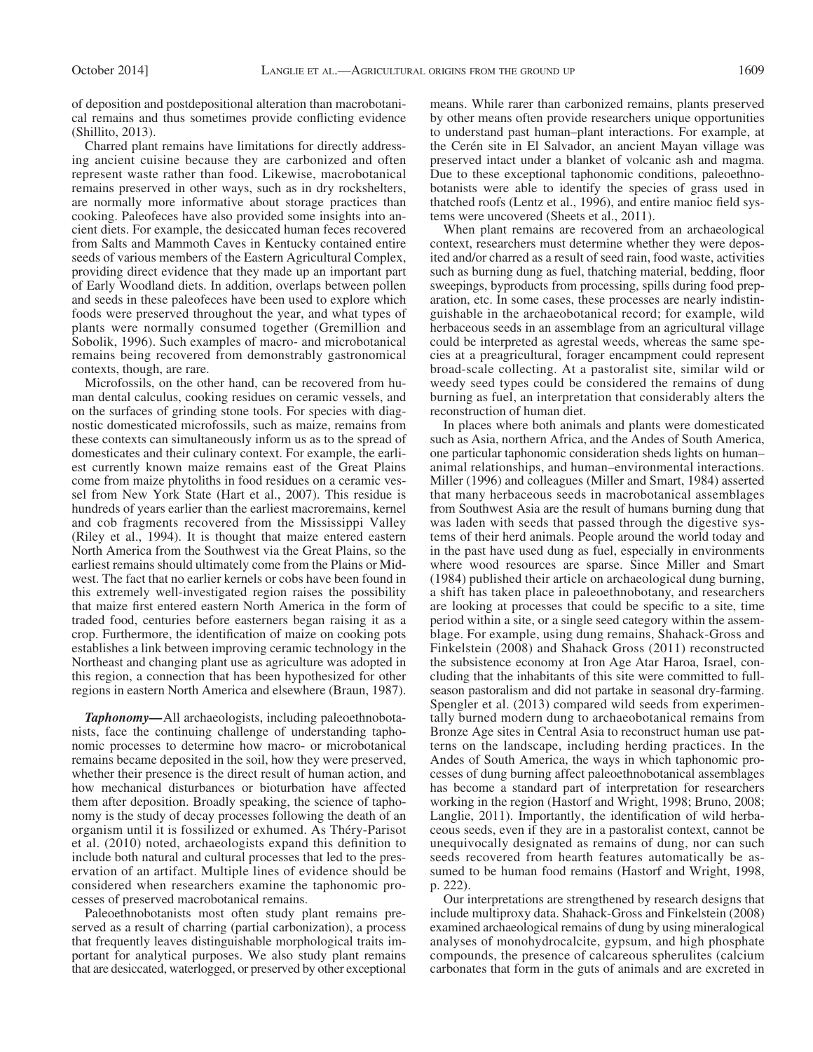of deposition and postdepositional alteration than macrobotanical remains and thus sometimes provide conflicting evidence ( Shillito, 2013).

 Charred plant remains have limitations for directly addressing ancient cuisine because they are carbonized and often represent waste rather than food. Likewise, macrobotanical remains preserved in other ways, such as in dry rockshelters, are normally more informative about storage practices than cooking. Paleofeces have also provided some insights into ancient diets. For example, the desiccated human feces recovered from Salts and Mammoth Caves in Kentucky contained entire seeds of various members of the Eastern Agricultural Complex, providing direct evidence that they made up an important part of Early Woodland diets. In addition, overlaps between pollen and seeds in these paleofeces have been used to explore which foods were preserved throughout the year, and what types of plants were normally consumed together (Gremillion and Sobolik, 1996). Such examples of macro- and microbotanical remains being recovered from demonstrably gastronomical contexts, though, are rare.

 Microfossils, on the other hand, can be recovered from human dental calculus, cooking residues on ceramic vessels, and on the surfaces of grinding stone tools. For species with diagnostic domesticated microfossils, such as maize, remains from these contexts can simultaneously inform us as to the spread of domesticates and their culinary context. For example, the earliest currently known maize remains east of the Great Plains come from maize phytoliths in food residues on a ceramic vessel from New York State (Hart et al., 2007). This residue is hundreds of years earlier than the earliest macroremains, kernel and cob fragments recovered from the Mississippi Valley (Riley et al., 1994). It is thought that maize entered eastern North America from the Southwest via the Great Plains, so the earliest remains should ultimately come from the Plains or Midwest. The fact that no earlier kernels or cobs have been found in this extremely well-investigated region raises the possibility that maize first entered eastern North America in the form of traded food, centuries before easterners began raising it as a crop. Furthermore, the identification of maize on cooking pots establishes a link between improving ceramic technology in the Northeast and changing plant use as agriculture was adopted in this region, a connection that has been hypothesized for other regions in eastern North America and elsewhere (Braun, 1987).

*Taphonomy***—** All archaeologists, including paleoethnobotanists, face the continuing challenge of understanding taphonomic processes to determine how macro- or microbotanical remains became deposited in the soil, how they were preserved, whether their presence is the direct result of human action, and how mechanical disturbances or bioturbation have affected them after deposition. Broadly speaking, the science of taphonomy is the study of decay processes following the death of an organism until it is fossilized or exhumed. As Théry-Parisot et al. (2010) noted, archaeologists expand this definition to include both natural and cultural processes that led to the preservation of an artifact. Multiple lines of evidence should be considered when researchers examine the taphonomic processes of preserved macrobotanical remains.

 Paleoethnobotanists most often study plant remains preserved as a result of charring (partial carbonization), a process that frequently leaves distinguishable morphological traits important for analytical purposes. We also study plant remains that are desiccated, waterlogged, or preserved by other exceptional

means. While rarer than carbonized remains, plants preserved by other means often provide researchers unique opportunities to understand past human–plant interactions. For example, at the Cerén site in El Salvador, an ancient Mayan village was preserved intact under a blanket of volcanic ash and magma. Due to these exceptional taphonomic conditions, paleoethnobotanists were able to identify the species of grass used in thatched roofs (Lentz et al., 1996), and entire manioc field systems were uncovered (Sheets et al., 2011).

 When plant remains are recovered from an archaeological context, researchers must determine whether they were deposited and/or charred as a result of seed rain, food waste, activities such as burning dung as fuel, thatching material, bedding, floor sweepings, byproducts from processing, spills during food preparation, etc. In some cases, these processes are nearly indistinguishable in the archaeobotanical record; for example, wild herbaceous seeds in an assemblage from an agricultural village could be interpreted as agrestal weeds, whereas the same species at a preagricultural, forager encampment could represent broad-scale collecting. At a pastoralist site, similar wild or weedy seed types could be considered the remains of dung burning as fuel, an interpretation that considerably alters the reconstruction of human diet.

 In places where both animals and plants were domesticated such as Asia, northern Africa, and the Andes of South America, one particular taphonomic consideration sheds lights on human– animal relationships, and human–environmental interactions. Miller (1996) and colleagues (Miller and Smart, 1984) asserted that many herbaceous seeds in macrobotanical assemblages from Southwest Asia are the result of humans burning dung that was laden with seeds that passed through the digestive systems of their herd animals. People around the world today and in the past have used dung as fuel, especially in environments where wood resources are sparse. Since Miller and Smart (1984) published their article on archaeological dung burning, a shift has taken place in paleoethnobotany, and researchers are looking at processes that could be specific to a site, time period within a site, or a single seed category within the assemblage. For example, using dung remains, Shahack-Gross and Finkelstein (2008) and Shahack Gross (2011) reconstructed the subsistence economy at Iron Age Atar Haroa, Israel, concluding that the inhabitants of this site were committed to fullseason pastoralism and did not partake in seasonal dry-farming. Spengler et al. (2013) compared wild seeds from experimentally burned modern dung to archaeobotanical remains from Bronze Age sites in Central Asia to reconstruct human use patterns on the landscape, including herding practices. In the Andes of South America, the ways in which taphonomic processes of dung burning affect paleoethnobotanical assemblages has become a standard part of interpretation for researchers working in the region (Hastorf and Wright, 1998; Bruno, 2008; Langlie, 2011). Importantly, the identification of wild herbaceous seeds, even if they are in a pastoralist context, cannot be unequivocally designated as remains of dung, nor can such seeds recovered from hearth features automatically be assumed to be human food remains (Hastorf and Wright, 1998, p. 222).

 Our interpretations are strengthened by research designs that include multiproxy data. Shahack-Gross and Finkelstein (2008) examined archaeological remains of dung by using mineralogical analyses of monohydrocalcite, gypsum, and high phosphate compounds, the presence of calcareous spherulites (calcium carbonates that form in the guts of animals and are excreted in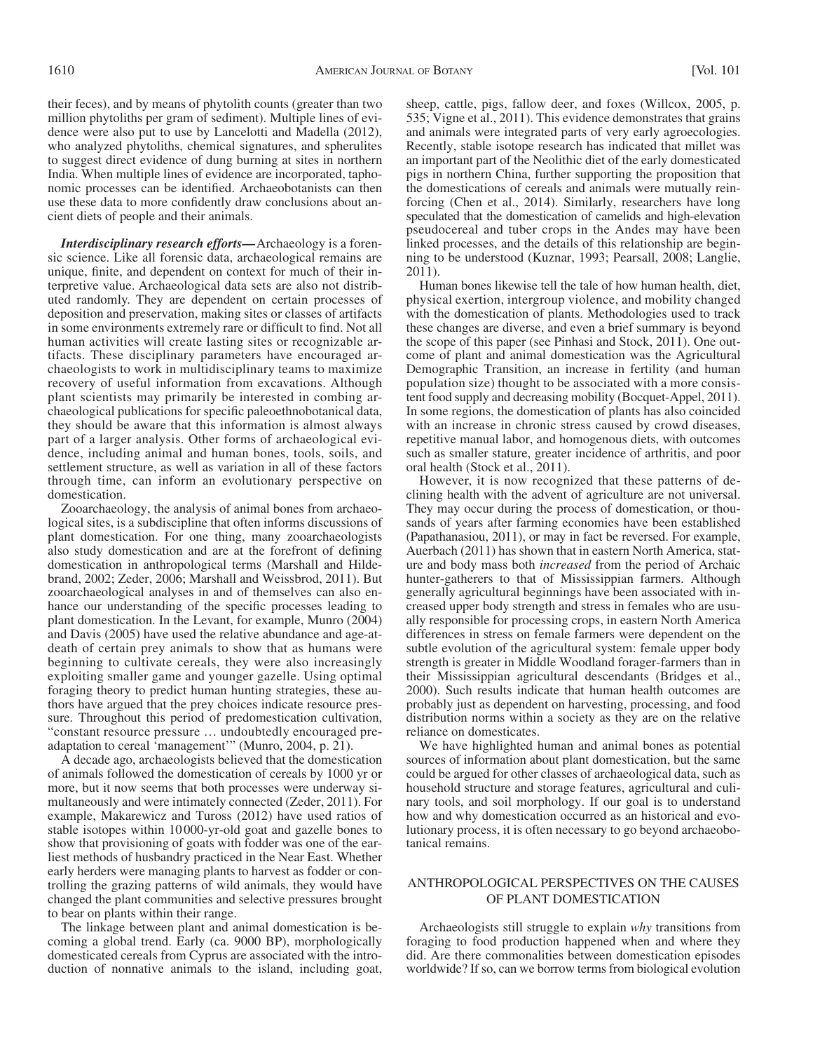their feces), and by means of phytolith counts (greater than two million phytoliths per gram of sediment). Multiple lines of evidence were also put to use by Lancelotti and Madella (2012), who analyzed phytoliths, chemical signatures, and spherulites to suggest direct evidence of dung burning at sites in northern India. When multiple lines of evidence are incorporated, taphonomic processes can be identified. Archaeobotanists can then use these data to more confidently draw conclusions about ancient diets of people and their animals.

*Interdisciplinary research efforts—Archaeology is a foren*sic science. Like all forensic data, archaeological remains are unique, finite, and dependent on context for much of their interpretive value. Archaeological data sets are also not distributed randomly. They are dependent on certain processes of deposition and preservation, making sites or classes of artifacts in some environments extremely rare or difficult to find. Not all human activities will create lasting sites or recognizable artifacts. These disciplinary parameters have encouraged archaeologists to work in multidisciplinary teams to maximize recovery of useful information from excavations. Although plant scientists may primarily be interested in combing archaeological publications for specific paleoethnobotanical data, they should be aware that this information is almost always part of a larger analysis. Other forms of archaeological evidence, including animal and human bones, tools, soils, and settlement structure, as well as variation in all of these factors through time, can inform an evolutionary perspective on domestication.

 Zooarchaeology, the analysis of animal bones from archaeological sites, is a subdiscipline that often informs discussions of plant domestication. For one thing, many zooarchaeologists also study domestication and are at the forefront of defining domestication in anthropological terms ( Marshall and Hildebrand, 2002; Zeder, 2006; Marshall and Weissbrod, 2011). But zooarchaeological analyses in and of themselves can also enhance our understanding of the specific processes leading to plant domestication. In the Levant, for example, Munro (2004) and Davis (2005) have used the relative abundance and age-atdeath of certain prey animals to show that as humans were beginning to cultivate cereals, they were also increasingly exploiting smaller game and younger gazelle. Using optimal foraging theory to predict human hunting strategies, these authors have argued that the prey choices indicate resource pressure. Throughout this period of predomestication cultivation, "constant resource pressure … undoubtedly encouraged preadaptation to cereal 'management'" (Munro, 2004, p. 21).

 A decade ago, archaeologists believed that the domestication of animals followed the domestication of cereals by 1000 yr or more, but it now seems that both processes were underway simultaneously and were intimately connected (Zeder, 2011). For example, Makarewicz and Tuross (2012) have used ratios of stable isotopes within 10 000-yr-old goat and gazelle bones to show that provisioning of goats with fodder was one of the earliest methods of husbandry practiced in the Near East. Whether early herders were managing plants to harvest as fodder or controlling the grazing patterns of wild animals, they would have changed the plant communities and selective pressures brought to bear on plants within their range.

 The linkage between plant and animal domestication is becoming a global trend. Early (ca. 9000 BP), morphologically domesticated cereals from Cyprus are associated with the introduction of nonnative animals to the island, including goat, sheep, cattle, pigs, fallow deer, and foxes (Willcox, 2005, p. 535; Vigne et al., 2011 ). This evidence demonstrates that grains and animals were integrated parts of very early agroecologies. Recently, stable isotope research has indicated that millet was an important part of the Neolithic diet of the early domesticated pigs in northern China, further supporting the proposition that the domestications of cereals and animals were mutually reinforcing (Chen et al., 2014). Similarly, researchers have long speculated that the domestication of camelids and high-elevation pseudocereal and tuber crops in the Andes may have been linked processes, and the details of this relationship are beginning to be understood (Kuznar, 1993; Pearsall, 2008; Langlie,  $2011$ .

 Human bones likewise tell the tale of how human health, diet, physical exertion, intergroup violence, and mobility changed with the domestication of plants. Methodologies used to track these changes are diverse, and even a brief summary is beyond the scope of this paper (see Pinhasi and Stock, 2011). One outcome of plant and animal domestication was the Agricultural Demographic Transition, an increase in fertility (and human population size) thought to be associated with a more consistent food supply and decreasing mobility (Bocquet-Appel, 2011). In some regions, the domestication of plants has also coincided with an increase in chronic stress caused by crowd diseases, repetitive manual labor, and homogenous diets, with outcomes such as smaller stature, greater incidence of arthritis, and poor oral health (Stock et al., 2011).

 However, it is now recognized that these patterns of declining health with the advent of agriculture are not universal. They may occur during the process of domestication, or thousands of years after farming economies have been established ( Papathanasiou, 2011 ), or may in fact be reversed. For example, Auerbach (2011) has shown that in eastern North America, stature and body mass both *increased* from the period of Archaic hunter-gatherers to that of Mississippian farmers. Although generally agricultural beginnings have been associated with increased upper body strength and stress in females who are usually responsible for processing crops, in eastern North America differences in stress on female farmers were dependent on the subtle evolution of the agricultural system: female upper body strength is greater in Middle Woodland forager-farmers than in their Mississippian agricultural descendants ( Bridges et al., 2000). Such results indicate that human health outcomes are probably just as dependent on harvesting, processing, and food distribution norms within a society as they are on the relative reliance on domesticates.

 We have highlighted human and animal bones as potential sources of information about plant domestication, but the same could be argued for other classes of archaeological data, such as household structure and storage features, agricultural and culinary tools, and soil morphology. If our goal is to understand how and why domestication occurred as an historical and evolutionary process, it is often necessary to go beyond archaeobotanical remains.

# ANTHROPOLOGICAL PERSPECTIVES ON THE CAUSES OF PLANT DOMESTICATION

 Archaeologists still struggle to explain *why* transitions from foraging to food production happened when and where they did. Are there commonalities between domestication episodes worldwide? If so, can we borrow terms from biological evolution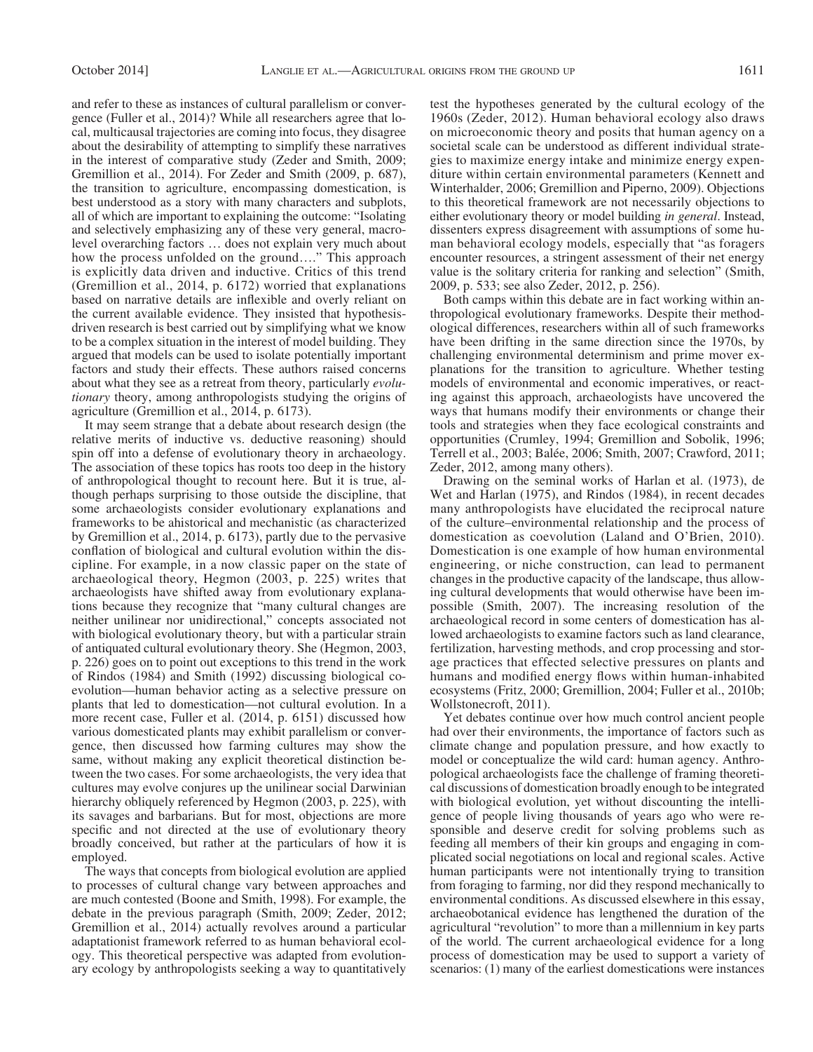and refer to these as instances of cultural parallelism or convergence (Fuller et al., 2014)? While all researchers agree that local, multicausal trajectories are coming into focus, they disagree about the desirability of attempting to simplify these narratives in the interest of comparative study (Zeder and Smith, 2009; Gremillion et al., 2014). For Zeder and Smith (2009, p. 687), the transition to agriculture, encompassing domestication, is best understood as a story with many characters and subplots, all of which are important to explaining the outcome: "Isolating and selectively emphasizing any of these very general, macrolevel overarching factors … does not explain very much about how the process unfolded on the ground…." This approach is explicitly data driven and inductive. Critics of this trend (Gremillion et al., 2014, p. 6172) worried that explanations based on narrative details are inflexible and overly reliant on the current available evidence. They insisted that hypothesisdriven research is best carried out by simplifying what we know to be a complex situation in the interest of model building. They argued that models can be used to isolate potentially important factors and study their effects. These authors raised concerns about what they see as a retreat from theory, particularly *evolutionary* theory, among anthropologists studying the origins of agriculture (Gremillion et al., 2014, p. 6173).

 It may seem strange that a debate about research design (the relative merits of inductive vs. deductive reasoning) should spin off into a defense of evolutionary theory in archaeology. The association of these topics has roots too deep in the history of anthropological thought to recount here. But it is true, although perhaps surprising to those outside the discipline, that some archaeologists consider evolutionary explanations and frameworks to be ahistorical and mechanistic (as characterized by Gremillion et al., 2014 , p. 6173), partly due to the pervasive conflation of biological and cultural evolution within the discipline. For example, in a now classic paper on the state of archaeological theory, Hegmon (2003, p. 225) writes that archaeologists have shifted away from evolutionary explanations because they recognize that "many cultural changes are neither unilinear nor unidirectional," concepts associated not with biological evolutionary theory, but with a particular strain of antiquated cultural evolutionary theory. She (Hegmon, 2003, p. 226) goes on to point out exceptions to this trend in the work of Rindos (1984) and Smith (1992) discussing biological coevolution—human behavior acting as a selective pressure on plants that led to domestication—not cultural evolution. In a more recent case, Fuller et al. (2014, p. 6151) discussed how various domesticated plants may exhibit parallelism or convergence, then discussed how farming cultures may show the same, without making any explicit theoretical distinction between the two cases. For some archaeologists, the very idea that cultures may evolve conjures up the unilinear social Darwinian hierarchy obliquely referenced by Hegmon (2003, p. 225), with its savages and barbarians. But for most, objections are more specific and not directed at the use of evolutionary theory broadly conceived, but rather at the particulars of how it is employed.

 The ways that concepts from biological evolution are applied to processes of cultural change vary between approaches and are much contested (Boone and Smith, 1998). For example, the debate in the previous paragraph (Smith, 2009; Zeder, 2012; Gremillion et al., 2014) actually revolves around a particular adaptationist framework referred to as human behavioral ecology. This theoretical perspective was adapted from evolutionary ecology by anthropologists seeking a way to quantitatively

test the hypotheses generated by the cultural ecology of the 1960s ( Zeder, 2012 ). Human behavioral ecology also draws on microeconomic theory and posits that human agency on a societal scale can be understood as different individual strategies to maximize energy intake and minimize energy expenditure within certain environmental parameters ( Kennett and Winterhalder, 2006; Gremillion and Piperno, 2009). Objections to this theoretical framework are not necessarily objections to either evolutionary theory or model building in general. Instead, dissenters express disagreement with assumptions of some human behavioral ecology models, especially that "as foragers encounter resources, a stringent assessment of their net energy value is the solitary criteria for ranking and selection" ( Smith, 2009, p. 533; see also Zeder, 2012, p. 256).

 Both camps within this debate are in fact working within anthropological evolutionary frameworks. Despite their methodological differences, researchers within all of such frameworks have been drifting in the same direction since the 1970s, by challenging environmental determinism and prime mover explanations for the transition to agriculture. Whether testing models of environmental and economic imperatives, or reacting against this approach, archaeologists have uncovered the ways that humans modify their environments or change their tools and strategies when they face ecological constraints and opportunities (Crumley, 1994; Gremillion and Sobolik, 1996; Terrell et al., 2003; Balée, 2006; Smith, 2007; Crawford, 2011; Zeder, 2012, among many others).

Drawing on the seminal works of Harlan et al. (1973), de Wet and Harlan (1975), and Rindos (1984), in recent decades many anthropologists have elucidated the reciprocal nature of the culture–environmental relationship and the process of domestication as coevolution (Laland and O'Brien, 2010). Domestication is one example of how human environmental engineering, or niche construction, can lead to permanent changes in the productive capacity of the landscape, thus allowing cultural developments that would otherwise have been impossible (Smith, 2007). The increasing resolution of the archaeological record in some centers of domestication has allowed archaeologists to examine factors such as land clearance, fertilization, harvesting methods, and crop processing and storage practices that effected selective pressures on plants and humans and modified energy flows within human-inhabited ecosystems (Fritz, 2000; Gremillion, 2004; Fuller et al., 2010b; Wollstonecroft, 2011).

 Yet debates continue over how much control ancient people had over their environments, the importance of factors such as climate change and population pressure, and how exactly to model or conceptualize the wild card: human agency. Anthropological archaeologists face the challenge of framing theoretical discussions of domestication broadly enough to be integrated with biological evolution, yet without discounting the intelligence of people living thousands of years ago who were responsible and deserve credit for solving problems such as feeding all members of their kin groups and engaging in complicated social negotiations on local and regional scales. Active human participants were not intentionally trying to transition from foraging to farming, nor did they respond mechanically to environmental conditions. As discussed elsewhere in this essay, archaeobotanical evidence has lengthened the duration of the agricultural "revolution" to more than a millennium in key parts of the world. The current archaeological evidence for a long process of domestication may be used to support a variety of scenarios: (1) many of the earliest domestications were instances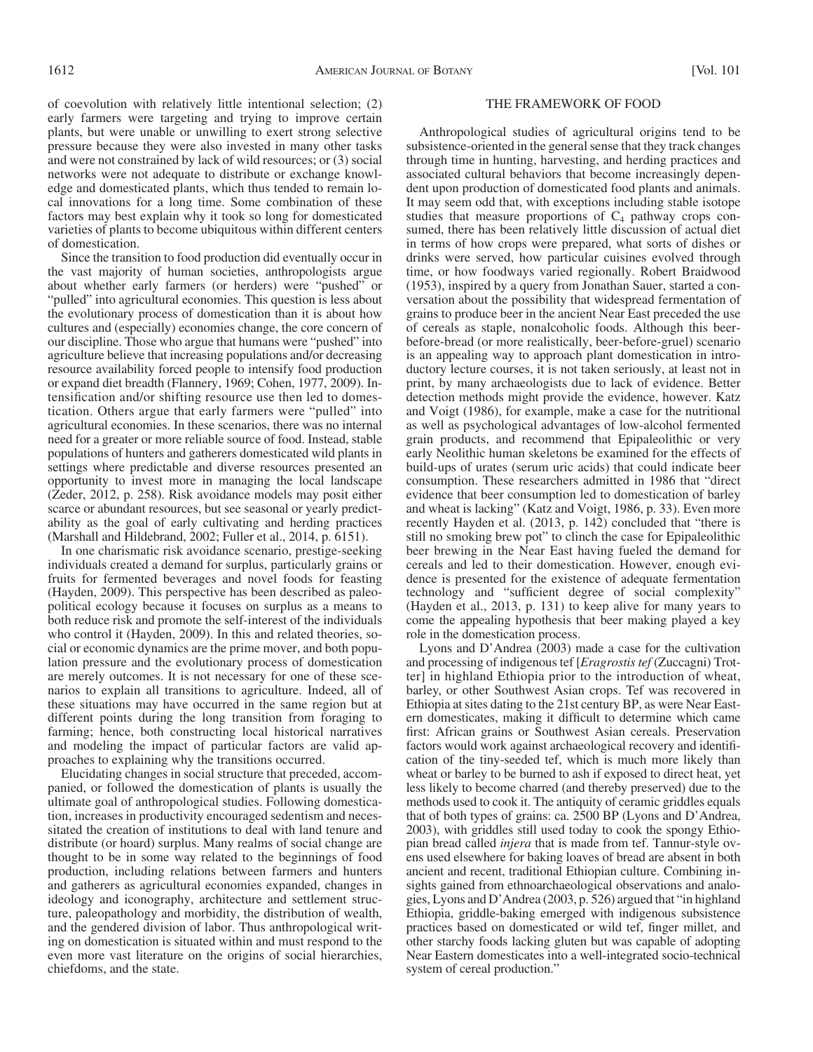of coevolution with relatively little intentional selection; (2) early farmers were targeting and trying to improve certain plants, but were unable or unwilling to exert strong selective pressure because they were also invested in many other tasks and were not constrained by lack of wild resources; or (3) social networks were not adequate to distribute or exchange knowledge and domesticated plants, which thus tended to remain local innovations for a long time. Some combination of these factors may best explain why it took so long for domesticated varieties of plants to become ubiquitous within different centers of domestication.

 Since the transition to food production did eventually occur in the vast majority of human societies, anthropologists argue about whether early farmers (or herders) were "pushed" or "pulled" into agricultural economies. This question is less about the evolutionary process of domestication than it is about how cultures and (especially) economies change, the core concern of our discipline. Those who argue that humans were "pushed" into agriculture believe that increasing populations and/or decreasing resource availability forced people to intensify food production or expand diet breadth (Flannery, 1969; Cohen, 1977, 2009). Intensification and/or shifting resource use then led to domestication. Others argue that early farmers were "pulled" into agricultural economies. In these scenarios, there was no internal need for a greater or more reliable source of food. Instead, stable populations of hunters and gatherers domesticated wild plants in settings where predictable and diverse resources presented an opportunity to invest more in managing the local landscape (Zeder, 2012, p. 258). Risk avoidance models may posit either scarce or abundant resources, but see seasonal or yearly predictability as the goal of early cultivating and herding practices (Marshall and Hildebrand, 2002; Fuller et al., 2014, p. 6151).

 In one charismatic risk avoidance scenario, prestige-seeking individuals created a demand for surplus, particularly grains or fruits for fermented beverages and novel foods for feasting (Hayden, 2009). This perspective has been described as paleopolitical ecology because it focuses on surplus as a means to both reduce risk and promote the self-interest of the individuals who control it (Hayden, 2009). In this and related theories, social or economic dynamics are the prime mover, and both population pressure and the evolutionary process of domestication are merely outcomes. It is not necessary for one of these scenarios to explain all transitions to agriculture. Indeed, all of these situations may have occurred in the same region but at different points during the long transition from foraging to farming; hence, both constructing local historical narratives and modeling the impact of particular factors are valid approaches to explaining why the transitions occurred.

 Elucidating changes in social structure that preceded, accompanied, or followed the domestication of plants is usually the ultimate goal of anthropological studies. Following domestication, increases in productivity encouraged sedentism and necessitated the creation of institutions to deal with land tenure and distribute (or hoard) surplus. Many realms of social change are thought to be in some way related to the beginnings of food production, including relations between farmers and hunters and gatherers as agricultural economies expanded, changes in ideology and iconography, architecture and settlement structure, paleopathology and morbidity, the distribution of wealth, and the gendered division of labor. Thus anthropological writing on domestication is situated within and must respond to the even more vast literature on the origins of social hierarchies, chiefdoms, and the state.

#### THE FRAMEWORK OF FOOD

 Anthropological studies of agricultural origins tend to be subsistence-oriented in the general sense that they track changes through time in hunting, harvesting, and herding practices and associated cultural behaviors that become increasingly dependent upon production of domesticated food plants and animals. It may seem odd that, with exceptions including stable isotope studies that measure proportions of  $C_4$  pathway crops consumed, there has been relatively little discussion of actual diet in terms of how crops were prepared, what sorts of dishes or drinks were served, how particular cuisines evolved through time, or how foodways varied regionally. Robert Braidwood (1953) , inspired by a query from Jonathan Sauer, started a conversation about the possibility that widespread fermentation of grains to produce beer in the ancient Near East preceded the use of cereals as staple, nonalcoholic foods. Although this beerbefore-bread (or more realistically, beer-before-gruel) scenario is an appealing way to approach plant domestication in introductory lecture courses, it is not taken seriously, at least not in print, by many archaeologists due to lack of evidence. Better detection methods might provide the evidence, however. Katz and Voigt (1986), for example, make a case for the nutritional as well as psychological advantages of low-alcohol fermented grain products, and recommend that Epipaleolithic or very early Neolithic human skeletons be examined for the effects of build-ups of urates (serum uric acids) that could indicate beer consumption. These researchers admitted in 1986 that "direct evidence that beer consumption led to domestication of barley and wheat is lacking" (Katz and Voigt, 1986, p. 33). Even more recently Hayden et al. (2013, p. 142) concluded that "there is still no smoking brew pot" to clinch the case for Epipaleolithic beer brewing in the Near East having fueled the demand for cereals and led to their domestication. However, enough evidence is presented for the existence of adequate fermentation technology and "sufficient degree of social complexity" (Hayden et al., 2013, p. 131) to keep alive for many years to come the appealing hypothesis that beer making played a key role in the domestication process.

 Lyons and D'Andrea (2003) made a case for the cultivation and processing of indigenous tef [ *Eragrostis tef* (Zuccagni) Trotter] in highland Ethiopia prior to the introduction of wheat, barley, or other Southwest Asian crops. Tef was recovered in Ethiopia at sites dating to the 21st century BP, as were Near Eastern domesticates, making it difficult to determine which came first: African grains or Southwest Asian cereals. Preservation factors would work against archaeological recovery and identification of the tiny-seeded tef, which is much more likely than wheat or barley to be burned to ash if exposed to direct heat, yet less likely to become charred (and thereby preserved) due to the methods used to cook it. The antiquity of ceramic griddles equals that of both types of grains: ca. 2500 BP (Lyons and D'Andrea, 2003 ), with griddles still used today to cook the spongy Ethiopian bread called *injera* that is made from tef. Tannur-style ovens used elsewhere for baking loaves of bread are absent in both ancient and recent, traditional Ethiopian culture. Combining insights gained from ethnoarchaeological observations and analogies, Lyons and D'Andrea (2003 , p. 526) argued that "in highland Ethiopia, griddle-baking emerged with indigenous subsistence practices based on domesticated or wild tef, finger millet, and other starchy foods lacking gluten but was capable of adopting Near Eastern domesticates into a well-integrated socio-technical system of cereal production."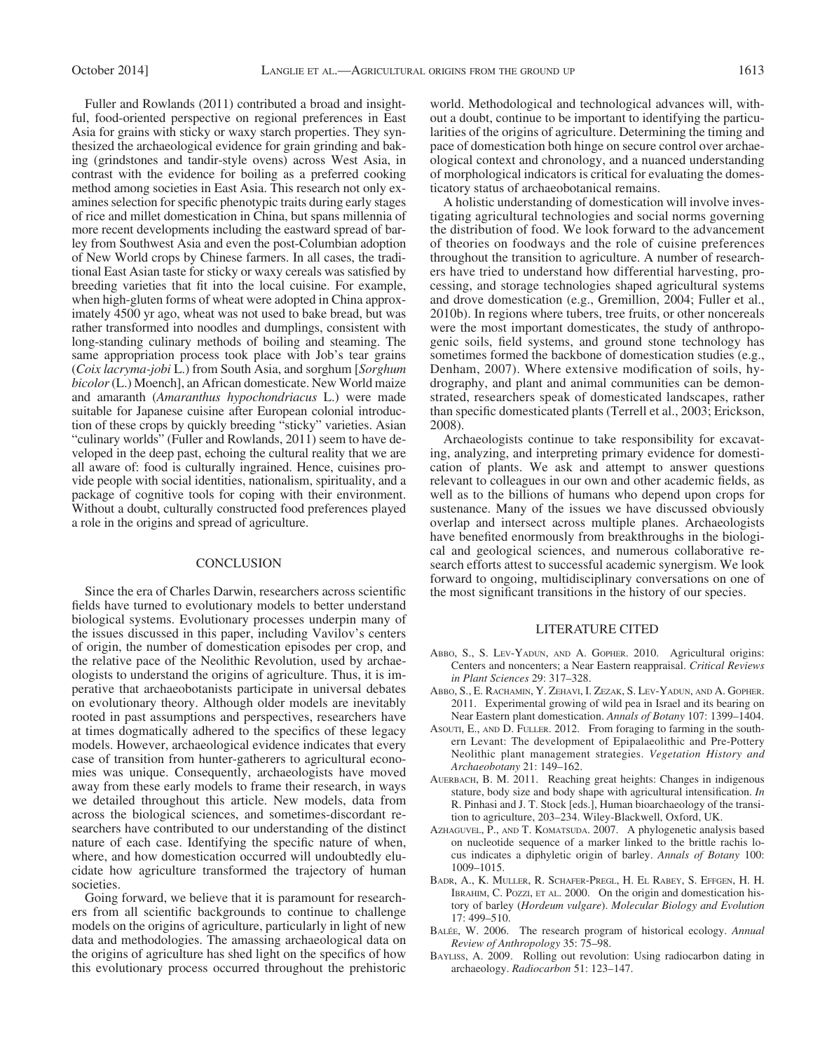Fuller and Rowlands (2011) contributed a broad and insightful, food-oriented perspective on regional preferences in East Asia for grains with sticky or waxy starch properties. They synthesized the archaeological evidence for grain grinding and baking (grindstones and tandir-style ovens) across West Asia, in contrast with the evidence for boiling as a preferred cooking method among societies in East Asia. This research not only examines selection for specific phenotypic traits during early stages of rice and millet domestication in China, but spans millennia of more recent developments including the eastward spread of barley from Southwest Asia and even the post-Columbian adoption of New World crops by Chinese farmers. In all cases, the traditional East Asian taste for sticky or waxy cereals was satisfied by breeding varieties that fit into the local cuisine. For example, when high-gluten forms of wheat were adopted in China approximately 4500 yr ago, wheat was not used to bake bread, but was rather transformed into noodles and dumplings, consistent with long-standing culinary methods of boiling and steaming. The same appropriation process took place with Job's tear grains ( *Coix lacryma-jobi* L.) from South Asia, and sorghum [ *Sorghum bicolor* (L.) Moench], an African domesticate. New World maize and amaranth ( *Amaranthus hypochondriacus* L.) were made suitable for Japanese cuisine after European colonial introduction of these crops by quickly breeding "sticky" varieties. Asian "culinary worlds" (Fuller and Rowlands, 2011) seem to have developed in the deep past, echoing the cultural reality that we are all aware of: food is culturally ingrained. Hence, cuisines provide people with social identities, nationalism, spirituality, and a package of cognitive tools for coping with their environment. Without a doubt, culturally constructed food preferences played a role in the origins and spread of agriculture.

#### **CONCLUSION**

Since the era of Charles Darwin, researchers across scientific fields have turned to evolutionary models to better understand biological systems. Evolutionary processes underpin many of the issues discussed in this paper, including Vavilov's centers of origin, the number of domestication episodes per crop, and the relative pace of the Neolithic Revolution, used by archaeologists to understand the origins of agriculture. Thus, it is imperative that archaeobotanists participate in universal debates on evolutionary theory. Although older models are inevitably rooted in past assumptions and perspectives, researchers have at times dogmatically adhered to the specifics of these legacy models. However, archaeological evidence indicates that every case of transition from hunter-gatherers to agricultural economies was unique. Consequently, archaeologists have moved away from these early models to frame their research, in ways we detailed throughout this article. New models, data from across the biological sciences, and sometimes-discordant researchers have contributed to our understanding of the distinct nature of each case. Identifying the specific nature of when, where, and how domestication occurred will undoubtedly elucidate how agriculture transformed the trajectory of human societies.

 Going forward, we believe that it is paramount for researchers from all scientific backgrounds to continue to challenge models on the origins of agriculture, particularly in light of new data and methodologies. The amassing archaeological data on the origins of agriculture has shed light on the specifics of how this evolutionary process occurred throughout the prehistoric

world. Methodological and technological advances will, without a doubt, continue to be important to identifying the particularities of the origins of agriculture. Determining the timing and pace of domestication both hinge on secure control over archaeological context and chronology, and a nuanced understanding of morphological indicators is critical for evaluating the domesticatory status of archaeobotanical remains.

 A holistic understanding of domestication will involve investigating agricultural technologies and social norms governing the distribution of food. We look forward to the advancement of theories on foodways and the role of cuisine preferences throughout the transition to agriculture. A number of researchers have tried to understand how differential harvesting, processing, and storage technologies shaped agricultural systems and drove domestication (e.g., Gremillion, 2004; Fuller et al., 2010b). In regions where tubers, tree fruits, or other noncereals were the most important domesticates, the study of anthropogenic soils, field systems, and ground stone technology has sometimes formed the backbone of domestication studies (e.g., Denham, 2007). Where extensive modification of soils, hydrography, and plant and animal communities can be demonstrated, researchers speak of domesticated landscapes, rather than specific domesticated plants (Terrell et al., 2003; Erickson, 2008 ).

 Archaeologists continue to take responsibility for excavating, analyzing, and interpreting primary evidence for domestication of plants. We ask and attempt to answer questions relevant to colleagues in our own and other academic fields, as well as to the billions of humans who depend upon crops for sustenance. Many of the issues we have discussed obviously overlap and intersect across multiple planes. Archaeologists have benefited enormously from breakthroughs in the biological and geological sciences, and numerous collaborative research efforts attest to successful academic synergism. We look forward to ongoing, multidisciplinary conversations on one of the most significant transitions in the history of our species.

## LITERATURE CITED

- ABBO, S., S. LEV-YADUN, AND A. GOPHER. 2010. Agricultural origins: Centers and noncenters; a Near Eastern reappraisal. *Critical Reviews in Plant Sciences* 29: 317-328.
- ABBO, S., E. RACHAMIN, Y. ZEHAVI, I. ZEZAK, S. LEV-YADUN, AND A. GOPHER. 2011. Experimental growing of wild pea in Israel and its bearing on Near Eastern plant domestication. Annals of Botany 107: 1399-1404.
- ASOUTI, E., AND D. FULLER. 2012. From foraging to farming in the southern Levant: The development of Epipalaeolithic and Pre-Pottery Neolithic plant management strategies. *Vegetation History and Archaeobotany* 21 : 149 – 162 .
- AUERBACH, B. M. 2011. Reaching great heights: Changes in indigenous stature, body size and body shape with agricultural intensification. *In* R. Pinhasi and J. T. Stock [eds.], Human bioarchaeology of the transition to agriculture, 203–234. Wiley-Blackwell, Oxford, UK.
- AZHAGUVEL, P., AND T. KOMATSUDA. 2007. A phylogenetic analysis based on nucleotide sequence of a marker linked to the brittle rachis locus indicates a diphyletic origin of barley. Annals of Botany 100: 1009 – 1015.
- BADR, A., K. MULLER, R. SCHAFER-PREGL, H. EL RABEY, S. EFFGEN, H. H. IBRAHIM, C. POZZI, ET AL. 2000. On the origin and domestication history of barley ( *Hordeum vulgare* ). *Molecular Biology and Evolution* 17: 499-510.
- BALÉE, W. 2006. The research program of historical ecology. Annual *Review of Anthropology* 35 : 75 – 98 .
- BAYLISS, A. 2009. Rolling out revolution: Using radiocarbon dating in archaeology. *Radiocarbon* 51: 123-147.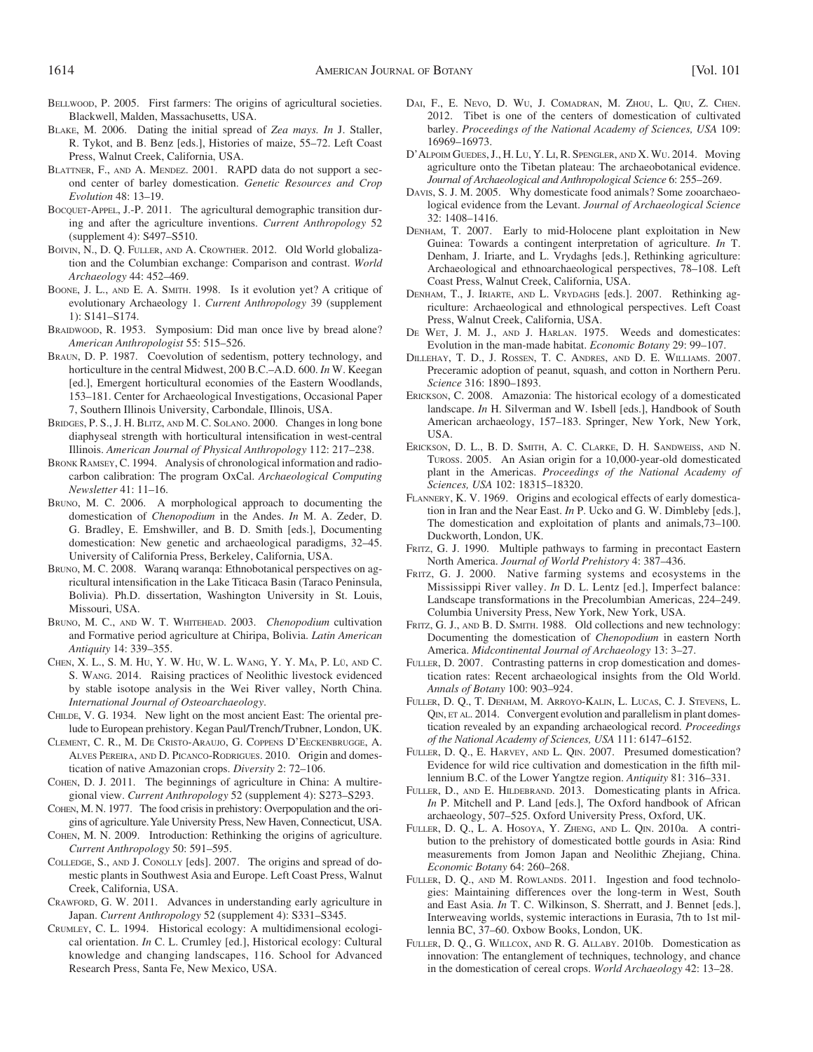- BELLWOOD, P. 2005. First farmers: The origins of agricultural societies. Blackwell, Malden, Massachusetts, USA.
- BLAKE, M. 2006. Dating the initial spread of *Zea mays. In* J. Staller, R. Tykot, and B. Benz [eds.], Histories of maize, 55–72. Left Coast Press, Walnut Creek, California, USA.
- BLATTNER, F., AND A. MENDEZ. 2001. RAPD data do not support a second center of barley domestication. *Genetic Resources and Crop Evolution* 48: 13-19.
- BOCQUET-APPEL, J.-P. 2011. The agricultural demographic transition during and after the agriculture inventions. *Current Anthropology* 52 (supplement 4): S497-S510.
- BOIVIN, N., D. Q. FULLER, AND A. CROWTHER. 2012. Old World globalization and the Columbian exchange: Comparison and contrast. *World Archaeology* 44 : 452 – 469 .
- BOONE, J. L., AND E. A. SMITH. 1998. Is it evolution yet? A critique of evolutionary Archaeology 1. *Current Anthropology* 39 (supplement 1): S141-S174.
- BRAIDWOOD, R. 1953. Symposium: Did man once live by bread alone? American Anthropologist 55: 515-526.
- BRAUN, D. P. 1987. Coevolution of sedentism, pottery technology, and horticulture in the central Midwest, 200 B.C.–A.D. 600. *In* W. Keegan [ed.], Emergent horticultural economies of the Eastern Woodlands, 153–181. Center for Archaeological Investigations, Occasional Paper 7, Southern Illinois University, Carbondale, Illinois, USA.
- BRIDGES, P. S., J. H. BLITZ, AND M. C. SOLANO. 2000. Changes in long bone diaphyseal strength with horticultural intensification in west-central Illinois. *American Journal of Physical Anthropology* 112: 217–238.
- BRONK RAMSEY, C. 1994. Analysis of chronological information and radiocarbon calibration: The program OxCal. *Archaeological Computing Newsletter* 41: 11-16.
- BRUNO, M. C. 2006. A morphological approach to documenting the domestication of *Chenopodium* in the Andes . *In* M. A. Zeder, D. G. Bradley, E. Emshwiller, and B. D. Smith [eds.], Documenting domestication: New genetic and archaeological paradigms, 32–45. University of California Press, Berkeley, California, USA.
- BRUNO, M. C. 2008. Waranq waranqa: Ethnobotanical perspectives on agricultural intensification in the Lake Titicaca Basin (Taraco Peninsula, Bolivia). Ph.D. dissertation, Washington University in St. Louis, Missouri, USA.
- BRUNO, M. C., AND W. T. WHITEHEAD. 2003. *Chenopodium* cultivation and Formative period agriculture at Chiripa, Bolivia. *Latin American Antiquity* 14: 339-355.
- CHEN, X. L., S. M. HU, Y. W. HU, W. L. WANG, Y. Y. MA, P. LÜ, AND C. S. WANG. 2014. Raising practices of Neolithic livestock evidenced by stable isotope analysis in the Wei River valley, North China . *International Journal of Osteoarchaeology* .
- CHILDE, V. G. 1934. New light on the most ancient East: The oriental prelude to European prehistory. Kegan Paul/Trench/Trubner, London, UK.
- CLEMENT, C. R., M. DE CRISTO-ARAUJO, G. COPPENS D'EECKENBRUGGE, A. ALVES PEREIRA, AND D. PICANCO-RODRIGUES. 2010. Origin and domestication of native Amazonian crops. *Diversity* 2: 72–106.
- COHEN, D. J. 2011. The beginnings of agriculture in China: A multiregional view. *Current Anthropology* 52 (supplement 4): S273-S293.
- COHEN, M. N. 1977. The food crisis in prehistory: Overpopulation and the origins of agriculture. Yale University Press, New Haven, Connecticut, USA.
- COHEN, M. N. 2009. Introduction: Rethinking the origins of agriculture. **Current Anthropology 50: 591-595.**
- COLLEDGE, S., AND J. CONOLLY [eds]. 2007. The origins and spread of domestic plants in Southwest Asia and Europe. Left Coast Press, Walnut Creek, California, USA.
- CRAWFORD, G. W. 2011. Advances in understanding early agriculture in Japan. *Current Anthropology* 52 (supplement 4): S331-S345.
- CRUMLEY, C. L. 1994. Historical ecology: A multidimensional ecological orientation . *In* C. L. Crumley [ed.], Historical ecology: Cultural knowledge and changing landscapes, 116. School for Advanced Research Press, Santa Fe, New Mexico, USA.
- DAI, F., E. NEVO, D. WU, J. COMADRAN, M. ZHOU, L. QIU, Z. CHEN. 2012. Tibet is one of the centers of domestication of cultivated barley. Proceedings of the National Academy of Sciences, USA 109: 16969-16973.
- D'ALPOIM GUEDES, J., H. LU, Y. LI, R. SPENGLER, AND X. WU. 2014. Moving agriculture onto the Tibetan plateau: The archaeobotanical evidence. *Journal of Archaeological and Anthropological Science* 6: 255–269.
- DAVIS, S. J. M. 2005. Why domesticate food animals? Some zooarchaeological evidence from the Levant. *Journal of Archaeological Science* 32: 1408-1416.
- DENHAM, T. 2007. Early to mid-Holocene plant exploitation in New Guinea: Towards a contingent interpretation of agriculture. *In* T. Denham, J. Iriarte, and L. Vrydaghs [eds.], Rethinking agriculture: Archaeological and ethnoarchaeological perspectives, 78–108. Left Coast Press, Walnut Creek, California, USA.
- DENHAM, T., J. IRIARTE, AND L. VRYDAGHS [eds.]. 2007. Rethinking agriculture: Archaeological and ethnological perspectives. Left Coast Press, Walnut Creek, California, USA.
- DE WET, J. M. J., AND J. HARLAN. 1975. Weeds and domesticates: Evolution in the man-made habitat. *Economic Botany* 29: 99-107.
- DILLEHAY, T. D., J. ROSSEN, T. C. ANDRES, AND D. E. WILLIAMS. 2007. Preceramic adoption of peanut, squash, and cotton in Northern Peru. *Science* 316: 1890-1893.
- ERICKSON, C. 2008. Amazonia: The historical ecology of a domesticated landscape . *In* H. Silverman and W. Isbell [eds.], Handbook of South American archaeology, 157–183. Springer, New York, New York, USA.
- ERICKSON, D. L., B. D. SMITH, A. C. CLARKE, D. H. SANDWEISS, AND N. TUROSS. 2005. An Asian origin for a 10,000-year-old domesticated plant in the Americas. *Proceedings of the National Academy of Sciences, USA* 102: 18315-18320.
- FLANNERY, K. V. 1969. Origins and ecological effects of early domestication in Iran and the Near East. *In* P. Ucko and G. W. Dimbleby [eds.], The domestication and exploitation of plants and animals,73–100. Duckworth, London, UK.
- FRITZ, G. J. 1990. Multiple pathways to farming in precontact Eastern North America. *Journal of World Prehistory* 4: 387-436.
- FRITZ, G. J. 2000. Native farming systems and ecosystems in the Mississippi River valley. *In* D. L. Lentz [ed.], Imperfect balance: Landscape transformations in the Precolumbian Americas, 224–249. Columbia University Press, New York, New York, USA.
- FRITZ, G. J., AND B. D. SMITH. 1988. Old collections and new technology: Documenting the domestication of *Chenopodium* in eastern North America. *Midcontinental Journal of Archaeology* 13: 3-27.
- FULLER, D. 2007. Contrasting patterns in crop domestication and domestication rates: Recent archaeological insights from the Old World. *Annals of Botany* 100: 903-924.
- FULLER, D. Q., T. DENHAM, M. ARROYO-KALIN, L. LUCAS, C. J. STEVENS, L. QIN, ET AL. 2014. Convergent evolution and parallelism in plant domestication revealed by an expanding archaeological record. *Proceedings*  of the National Academy of Sciences, USA 111: 6147-6152.
- FULLER, D. Q., E. HARVEY, AND L. QIN. 2007. Presumed domestication? Evidence for wild rice cultivation and domestication in the fifth millennium B.C. of the Lower Yangtze region. *Antiquity* 81: 316–331.
- FULLER, D., AND E. HILDEBRAND. 2013. Domesticating plants in Africa. *In* P. Mitchell and P. Land [eds.], The Oxford handbook of African archaeology, 507–525. Oxford University Press, Oxford, UK.
- FULLER, D. Q., L. A. HOSOYA, Y. ZHENG, AND L. QIN. 2010a. A contribution to the prehistory of domesticated bottle gourds in Asia: Rind measurements from Jomon Japan and Neolithic Zhejiang, China. *Economic Botany* 64: 260-268.
- FULLER, D. Q., AND M. ROWLANDS. 2011. Ingestion and food technologies: Maintaining differences over the long-term in West, South and East Asia . *In* T. C. Wilkinson, S. Sherratt, and J. Bennet [eds.], Interweaving worlds, systemic interactions in Eurasia, 7th to 1st millennia BC, 37–60. Oxbow Books, London, UK.
- FULLER, D. Q., G. WILLCOX, AND R. G. ALLABY. 2010b. Domestication as innovation: The entanglement of techniques, technology, and chance in the domestication of cereal crops. *World Archaeology* 42: 13-28.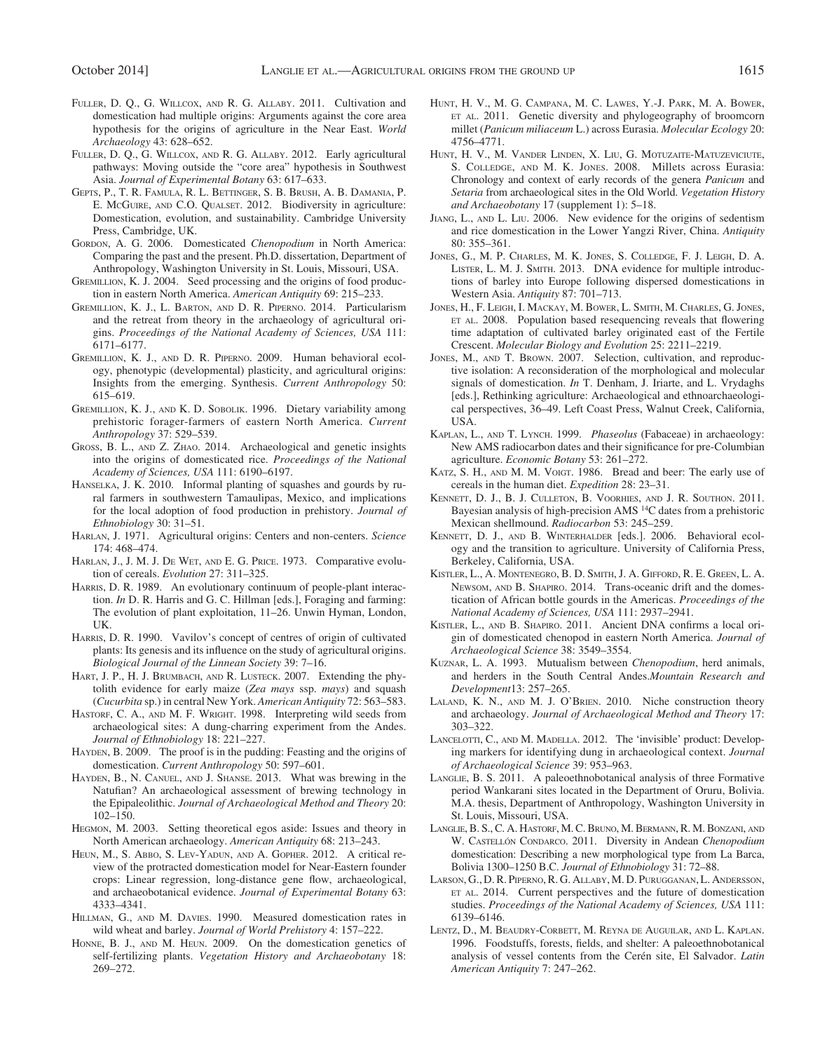- FULLER, D. Q., G. WILLCOX, AND R. G. ALLABY. 2011. Cultivation and domestication had multiple origins: Arguments against the core area hypothesis for the origins of agriculture in the Near East. *World Archaeology* 43 : 628 – 652 .
- FULLER, D. Q., G. WILLCOX, AND R. G. ALLABY. 2012. Early agricultural pathways: Moving outside the "core area" hypothesis in Southwest Asia. *Journal of Experimental Botany* 63: 617-633.
- GEPTS, P., T. R. FAMULA, R. L. BETTINGER, S. B. BRUSH, A. B. DAMANIA, P. E. McGUIRE, AND C.O. QUALSET. 2012. Biodiversity in agriculture: Domestication, evolution, and sustainability. Cambridge University Press, Cambridge, UK.
- GORDON, A. G. 2006. Domesticated *Chenopodium* in North America: Comparing the past and the present. Ph.D. dissertation, Department of Anthropology, Washington University in St. Louis, Missouri, USA.
- GREMILLION, K. J. 2004. Seed processing and the origins of food production in eastern North America. *American Antiquity* 69: 215–233.
- GREMILLION, K. J., L. BARTON, AND D. R. PIPERNO. 2014. Particularism and the retreat from theory in the archaeology of agricultural origins. *Proceedings of the National Academy of Sciences, USA* 111 : 6171-6177.
- GREMILLION, K. J., AND D. R. PIPERNO. 2009. Human behavioral ecology, phenotypic (developmental) plasticity, and agricultural origins: Insights from the emerging. Synthesis. *Current Anthropology* 50: 615 – 619.
- GREMILLION, K. J., AND K. D. SOBOLIK. 1996. Dietary variability among prehistoric forager-farmers of eastern North America. *Current*  Anthropology 37: 529-539.
- GROSS, B. L., AND Z. ZHAO. 2014. Archaeological and genetic insights into the origins of domesticated rice. *Proceedings of the National*  Academy of Sciences, USA 111: 6190-6197.
- HANSELKA, J. K. 2010. Informal planting of squashes and gourds by rural farmers in southwestern Tamaulipas, Mexico, and implications for the local adoption of food production in prehistory. *Journal of Ethnobiology* 30: 31-51.
- HARLAN, J. 1971. Agricultural origins: Centers and non-centers. *Science* 174: 468-474.
- HARLAN, J., J. M. J. DE WET, AND E. G. PRICE. 1973. Comparative evolution of cereals. *Evolution* 27: 311-325.
- HARRIS, D. R. 1989. An evolutionary continuum of people-plant interaction. *In* D. R. Harris and G. C. Hillman [eds.], Foraging and farming: The evolution of plant exploitation, 11–26. Unwin Hyman, London, UK.
- HARRIS, D. R. 1990. Vavilov's concept of centres of origin of cultivated plants: Its genesis and its influence on the study of agricultural origins. *Biological Journal of the Linnean Society* 39: 7-16.
- HART, J. P., H. J. BRUMBACH, AND R. LUSTECK. 2007. Extending the phytolith evidence for early maize (Zea mays ssp. mays) and squash ( *Cucurbita* sp.) in central New York. *American Antiquity* 72 : 563 – 583 .
- HASTORF, C. A., AND M. F. WRIGHT. 1998. Interpreting wild seeds from archaeological sites: A dung-charring experiment from the Andes. Journal of Ethnobiology 18: 221-227.
- HAYDEN, B. 2009. The proof is in the pudding: Feasting and the origins of domestication. *Current Anthropology* 50: 597-601.
- HAYDEN, B., N. CANUEL, AND J. SHANSE. 2013. What was brewing in the Natufian? An archaeological assessment of brewing technology in the Epipaleolithic. *Journal of Archaeological Method and Theory* 20:  $102 - 150.$
- HEGMON, M. 2003. Setting theoretical egos aside: Issues and theory in North American archaeology. *American Antiquity* 68: 213-243.
- HEUN, M., S. ABBO, S. LEV-YADUN, AND A. GOPHER. 2012. A critical review of the protracted domestication model for Near-Eastern founder crops: Linear regression, long-distance gene flow, archaeological, and archaeobotanical evidence. *Journal of Experimental Botany* 63: 4333-4341.
- HILLMAN, G., AND M. DAVIES. 1990. Measured domestication rates in wild wheat and barley. *Journal of World Prehistory* 4: 157-222.
- HONNE, B. J., AND M. HEUN. 2009. On the domestication genetics of self-fertilizing plants. *Vegetation History and Archaeobotany* 18: 269-272.
- HUNT, H. V., M. G. CAMPANA, M. C. LAWES, Y.-J. PARK, M. A. BOWER, ET AL. 2011. Genetic diversity and phylogeography of broomcorn millet (Panicum miliaceum L.) across Eurasia. *Molecular Ecology* 20: 4756-4771.
- HUNT, H. V., M. VANDER LINDEN, X. LIU, G. MOTUZAITE-MATUZEVICIUTE, S. COLLEDGE, AND M. K. JONES. 2008. Millets across Eurasia: Chronology and context of early records of the genera *Panicum* and *Setaria* from archaeological sites in the Old World. *Vegetation History*  and Archaeobotany 17 (supplement 1): 5-18.
- JIANG, L., AND L. LIU. 2006. New evidence for the origins of sedentism and rice domestication in the Lower Yangzi River, China. *Antiquity*  $80: 355 - 361.$
- JONES, G., M. P. CHARLES, M. K. JONES, S. COLLEDGE, F. J. LEIGH, D. A. LISTER, L. M. J. SMITH. 2013. DNA evidence for multiple introductions of barley into Europe following dispersed domestications in Western Asia. *Antiquity* 87: 701-713.
- JONES, H., F. LEIGH, I. MACKAY, M. BOWER, L. SMITH, M. CHARLES, G. JONES, ET AL. 2008. Population based resequencing reveals that flowering time adaptation of cultivated barley originated east of the Fertile Crescent. *Molecular Biology and Evolution* 25: 2211-2219.
- JONES, M., AND T. BROWN. 2007. Selection, cultivation, and reproductive isolation: A reconsideration of the morphological and molecular signals of domestication . *In* T. Denham, J. Iriarte, and L. Vrydaghs [eds.], Rethinking agriculture: Archaeological and ethnoarchaeological perspectives, 36–49. Left Coast Press, Walnut Creek, California, USA.
- KAPLAN, L., AND T. LYNCH. 1999. Phaseolus (Fabaceae) in archaeology: New AMS radiocarbon dates and their significance for pre-Columbian agriculture. *Economic Botany* 53: 261-272.
- KATZ, S. H., AND M. M. VOIGT. 1986. Bread and beer: The early use of cereals in the human diet. *Expedition* 28: 23-31.
- KENNETT, D. J., B. J. CULLETON, B. VOORHIES, AND J. R. SOUTHON. 2011. Bayesian analysis of high-precision AMS<sup>14</sup>C dates from a prehistoric Mexican shellmound. *Radiocarbon* 53: 245-259.
- KENNETT, D. J., AND B. WINTERHALDER [eds.]. 2006. Behavioral ecology and the transition to agriculture. University of California Press, Berkeley, California, USA.
- KISTLER, L., A. MONTENEGRO, B. D. SMITH, J. A. GIFFORD, R. E. GREEN, L. A. NEWSOM, AND B. SHAPIRO. 2014. Trans-oceanic drift and the domestication of African bottle gourds in the Americas. *Proceedings of the National Academy of Sciences, USA* 111: 2937-2941.
- KISTLER, L., AND B. SHAPIRO. 2011. Ancient DNA confirms a local origin of domesticated chenopod in eastern North America. *Journal of Archaeological Science* 38 : 3549 – 3554 .
- KUZNAR, L. A. 1993. Mutualism between *Chenopodium*, herd animals, and herders in the South Central Andes. *Mountain Research and Development* 13 : 257 – 265 .
- LALAND, K. N., AND M. J. O'BRIEN. 2010. Niche construction theory and archaeology. Journal of Archaeological Method and Theory 17:  $303 - 322$ .
- LANCELOTTI, C., AND M. MADELLA. 2012. The 'invisible' product: Developing markers for identifying dung in archaeological context. *Journal*  of Archaeological Science 39: 953-963.
- LANGLIE, B. S. 2011. A paleoethnobotanical analysis of three Formative period Wankarani sites located in the Department of Oruru, Bolivia. M.A. thesis, Department of Anthropology, Washington University in St. Louis, Missouri, USA.
- LANGLIE, B. S., C. A. HASTORF, M. C. BRUNO, M. BERMANN, R. M. BONZANI, AND W. CASTELLÓN CONDARCO. 2011. Diversity in Andean *Chenopodium* domestication: Describing a new morphological type from La Barca, Bolivia 1300–1250 B.C. *Journal of Ethnobiology* 31: 72–88.
- LARSON, G., D. R. PIPERNO, R. G. ALLABY, M. D. PURUGGANAN, L. ANDERSSON, ET AL. 2014. Current perspectives and the future of domestication studies. *Proceedings of the National Academy of Sciences, USA* 111 : 6139-6146.
- LENTZ, D., M. BEAUDRY-CORBETT, M. REYNA DE AUGUILAR, AND L. KAPLAN. 1996. Foodstuffs, forests, fields, and shelter: A paleoethnobotanical analysis of vessel contents from the Cerén site, El Salvador. *Latin*  American Antiquity 7: 247-262.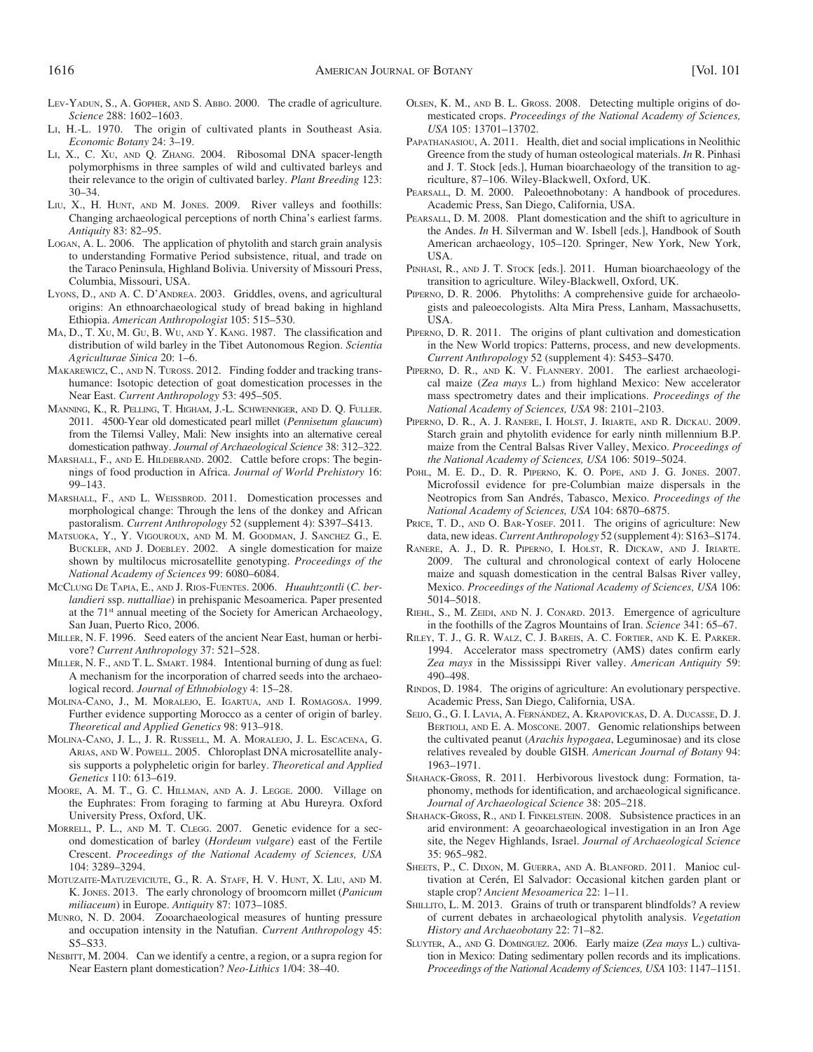- LEV-YADUN, S., A. GOPHER, AND S. ABBO. 2000. The cradle of agriculture. *Science* 288: 1602-1603.
- LI, H.-L. 1970. The origin of cultivated plants in Southeast Asia. *Economic Botany* 24: 3-19.
- LI, X., C. XU, AND Q. ZHANG. 2004. Ribosomal DNA spacer-length polymorphisms in three samples of wild and cultivated barleys and their relevance to the origin of cultivated barley. *Plant Breeding* 123 :  $30 - 34$ .
- LIU, X., H. HUNT, AND M. JONES. 2009. River valleys and foothills: Changing archaeological perceptions of north China's earliest farms. *Antiquity* 83: 82-95.
- LOGAN, A. L. 2006. The application of phytolith and starch grain analysis to understanding Formative Period subsistence, ritual, and trade on the Taraco Peninsula, Highland Bolivia . University of Missouri Press, Columbia, Missouri, USA.
- LYONS, D., AND A. C. D'ANDREA. 2003. Griddles, ovens, and agricultural origins: An ethnoarchaeological study of bread baking in highland Ethiopia. *American Anthropologist* 105: 515-530.
- MA, D., T. XU, M. GU, B. WU, AND Y. KANG. 1987. The classification and distribution of wild barley in the Tibet Autonomous Region. *Scientia*  Agriculturae Sinica 20: 1-6.
- MAKAREWICZ, C., AND N. TUROSS. 2012. Finding fodder and tracking transhumance: Isotopic detection of goat domestication processes in the Near East. *Current Anthropology* 53: 495-505.
- MANNING, K., R. PELLING, T. HIGHAM, J.-L. SCHWENNIGER, AND D. Q. FULLER. 2011. 4500-Year old domesticated pearl millet (Pennisetum glaucum) from the Tilemsi Valley, Mali: New insights into an alternative cereal domestication pathway. *Journal of Archaeological Science* 38: 312-322.
- MARSHALL, F., AND E. HILDEBRAND. 2002. Cattle before crops: The beginnings of food production in Africa. *Journal of World Prehistory* 16 :  $99 - 143$ .
- MARSHALL, F., AND L. WEISSBROD. 2011. Domestication processes and morphological change: Through the lens of the donkey and African pastoralism. *Current Anthropology* 52 (supplement 4): S397-S413.
- MATSUOKA, Y., Y. VIGOUROUX, AND M. M. GOODMAN, J. SANCHEZ G., E. BUCKLER, AND J. DOEBLEY. 2002. A single domestication for maize shown by multilocus microsatellite genotyping. Proceedings of the *National Academy of Sciences* 99 : 6080 – 6084 .
- McCLUNG DE TAPIA, E., AND J. RIOS-FUENTES. 2006. *Huauhtzontli* (C. ber*landieri* ssp. *nuttalliae* ) in prehispanic Mesoamerica. Paper presented at the 71<sup>st</sup> annual meeting of the Society for American Archaeology, San Juan, Puerto Rico, 2006.
- MILLER, N. F. 1996. Seed eaters of the ancient Near East, human or herbivore? Current Anthropology 37: 521-528.
- MILLER, N. F., AND T. L. SMART. 1984. Intentional burning of dung as fuel: A mechanism for the incorporation of charred seeds into the archaeological record. *Journal of Ethnobiology* 4: 15-28.
- MOLINA-CANO, J., M. MORALEJO, E. IGARTUA, AND I. ROMAGOSA. 1999. Further evidence supporting Morocco as a center of origin of barley. **Theoretical and Applied Genetics 98: 913-918.**
- MOLINA-CANO, J. L., J. R. RUSSELL, M. A. MORALEJO, J. L. ESCACENA, G. ARIAS, AND W. POWELL. 2005. Chloroplast DNA microsatellite analysis supports a polypheletic origin for barley. *Theoretical and Applied*  Genetics 110: 613-619.
- MOORE, A. M. T., G. C. HILLMAN, AND A. J. LEGGE. 2000. Village on the Euphrates: From foraging to farming at Abu Hureyra. Oxford University Press, Oxford, UK.
- MORRELL, P. L., AND M. T. CLEGG. 2007. Genetic evidence for a second domestication of barley (*Hordeum vulgare*) east of the Fertile Crescent. *Proceedings of the National Academy of Sciences, USA*  $104: 3289 - 3294$ .
- MOTUZAITE-MATUZEVICIUTE, G., R. A. STAFF, H. V. HUNT, X. LIU, AND M. K. JONES. 2013. The early chronology of broomcorn millet (Panicum *miliaceum*) in Europe. Antiquity 87: 1073-1085.
- MUNRO, N. D. 2004. Zooarchaeological measures of hunting pressure and occupation intensity in the Natufian. *Current Anthropology* 45: S<sub>5</sub>-S<sub>33</sub>.
- NESBITT, M. 2004. Can we identify a centre, a region, or a supra region for Near Eastern plant domestication? *Neo-Lithics* 1/04: 38-40.
- OLSEN, K. M., AND B. L. GROSS. 2008. Detecting multiple origins of domesticated crops. *Proceedings of the National Academy of Sciences,*  USA 105: 13701-13702.
- PAPATHANASIOU, A. 2011. Health, diet and social implications in Neolithic Greence from the study of human osteological materials. *In* R. Pinhasi and J. T. Stock [eds.], Human bioarchaeology of the transition to agriculture, 87–106. Wiley-Blackwell, Oxford, UK.
- PEARSALL, D. M. 2000. Paleoethnobotany: A handbook of procedures. Academic Press, San Diego, California, USA.
- PEARSALL, D. M. 2008. Plant domestication and the shift to agriculture in the Andes. *In* H. Silverman and W. Isbell [eds.], Handbook of South American archaeology, 105–120. Springer, New York, New York, USA.
- PINHASI, R., AND J. T. STOCK [eds.]. 2011. Human bioarchaeology of the transition to agriculture. Wiley-Blackwell, Oxford, UK.
- PIPERNO, D. R. 2006. Phytoliths: A comprehensive guide for archaeologists and paleoecologists . Alta Mira Press, Lanham, Massachusetts, USA.
- PIPERNO, D. R. 2011. The origins of plant cultivation and domestication in the New World tropics: Patterns, process, and new developments. Current Anthropology 52 (supplement 4): S453-S470.
- PIPERNO, D. R., AND K. V. FLANNERY. 2001. The earliest archaeological maize ( *Zea mays* L.) from highland Mexico: New accelerator mass spectrometry dates and their implications. *Proceedings of the National Academy of Sciences, USA 98: 2101-2103.*
- PIPERNO, D. R., A. J. RANERE, I. HOLST, J. IRIARTE, AND R. DICKAU. 2009. Starch grain and phytolith evidence for early ninth millennium B.P. maize from the Central Balsas River Valley, Mexico. *Proceedings of*  the National Academy of Sciences, USA 106: 5019-5024.
- POHL, M. E. D., D. R. PIPERNO, K. O. POPE, AND J. G. JONES. 2007. Microfossil evidence for pre-Columbian maize dispersals in the Neotropics from San Andrés, Tabasco, Mexico. *Proceedings of the*  National Academy of Sciences, USA 104: 6870-6875.
- PRICE, T. D., AND O. BAR-YOSEF. 2011. The origins of agriculture: New data, new ideas. *Current Anthropology* 52 (supplement 4): S163-S174.
- RANERE, A. J., D. R. PIPERNO, I. HOLST, R. DICKAW, AND J. IRIARTE. 2009. The cultural and chronological context of early Holocene maize and squash domestication in the central Balsas River valley, Mexico. *Proceedings of the National Academy of Sciences, USA* 106 : 5014-5018.
- RIEHL, S., M. ZEIDI, AND N. J. CONARD. 2013. Emergence of agriculture in the foothills of the Zagros Mountains of Iran. *Science* 341: 65–67.
- RILEY, T. J., G. R. WALZ, C. J. BAREIS, A. C. FORTIER, AND K. E. PARKER. 1994. Accelerator mass spectrometry (AMS) dates confirm early *Zea mays* in the Mississippi River valley. *American Antiquity* 59 : 490-498.
- RINDOS, D. 1984. The origins of agriculture: An evolutionary perspective. Academic Press, San Diego, California, USA.
- SEIJO, G., G. I. LAVIA, A. FERNÁNDEZ, A. KRAPOVICKAS, D. A. DUCASSE, D. J. BERTIOLI, AND E. A. MOSCONE. 2007. Genomic relationships between the cultivated peanut (*Arachis hypogaea*, Leguminosae) and its close relatives revealed by double GISH. *American Journal of Botany* 94 : 1963-1971.
- SHAHACK-GROSS, R. 2011. Herbivorous livestock dung: Formation, taphonomy, methods for identification, and archaeological significance. Journal of Archaeological Science 38: 205-218.
- SHAHACK-GROSS, R., AND I. FINKELSTEIN. 2008. Subsistence practices in an arid environment: A geoarchaeological investigation in an Iron Age site, the Negev Highlands, Israel. *Journal of Archaeological Science* 35: 965-982.
- SHEETS, P., C. DIXON, M. GUERRA, AND A. BLANFORD. 2011. Manioc cultivation at Cerén, El Salvador: Occasional kitchen garden plant or staple crop? Ancient Mesoamerica 22: 1-11.
- SHILLITO, L. M. 2013. Grains of truth or transparent blindfolds? A review of current debates in archaeological phytolith analysis . *Vegetation History and Archaeobotany* 22: 71–82.
- SLUYTER, A., AND G. DOMINGUEZ. 2006. Early maize (Zea mays L.) cultivation in Mexico: Dating sedimentary pollen records and its implications. Proceedings of the National Academy of Sciences, USA 103: 1147-1151.